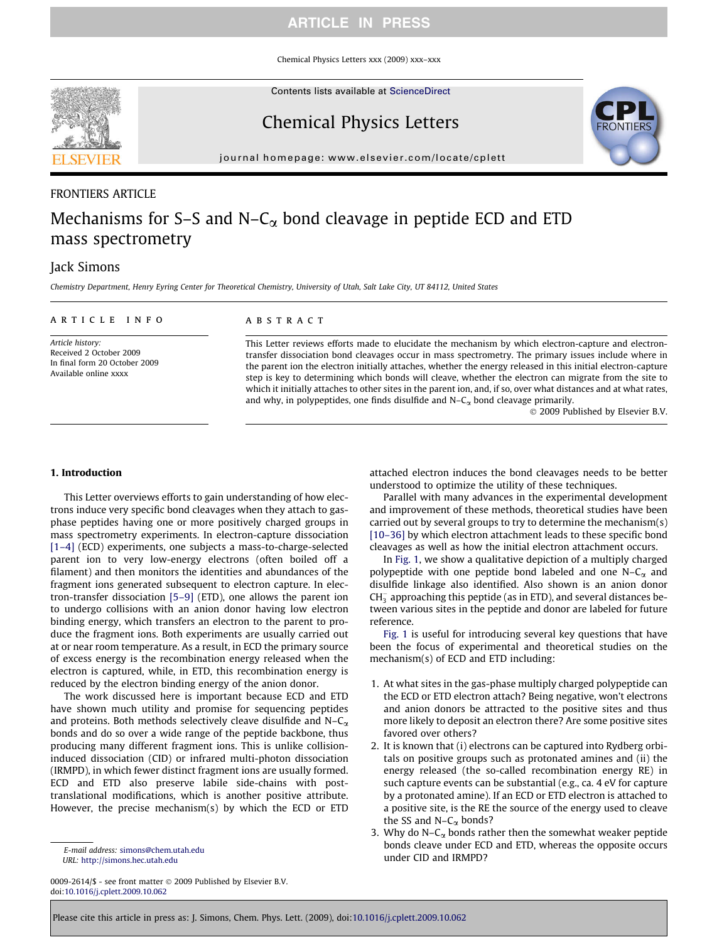Chemical Physics Letters xxx (2009) xxx–xxx

Contents lists available at [ScienceDirect](http://www.sciencedirect.com/science/journal/00092614)



Chemical Physics Letters

journal homepage: [www.elsevier.com/locate/cplett](http://www.elsevier.com/locate/cplett)

# FRONTIERS ARTICLE

# Mechanisms for S–S and N– $C_{\alpha}$  bond cleavage in peptide ECD and ETD mass spectrometry

# Jack Simons

Chemistry Department, Henry Eyring Center for Theoretical Chemistry, University of Utah, Salt Lake City, UT 84112, United States

### article info

Article history: Received 2 October 2009 In final form 20 October 2009 Available online xxxx

### ABSTRACT

This Letter reviews efforts made to elucidate the mechanism by which electron-capture and electrontransfer dissociation bond cleavages occur in mass spectrometry. The primary issues include where in the parent ion the electron initially attaches, whether the energy released in this initial electron-capture step is key to determining which bonds will cleave, whether the electron can migrate from the site to which it initially attaches to other sites in the parent ion, and, if so, over what distances and at what rates, and why, in polypeptides, one finds disulfide and  $N-C_{\alpha}$  bond cleavage primarily.

© 2009 Published by Elsevier B.V.

# 1. Introduction

This Letter overviews efforts to gain understanding of how electrons induce very specific bond cleavages when they attach to gasphase peptides having one or more positively charged groups in mass spectrometry experiments. In electron-capture dissociation [\[1–4\]](#page-13-0) (ECD) experiments, one subjects a mass-to-charge-selected parent ion to very low-energy electrons (often boiled off a filament) and then monitors the identities and abundances of the fragment ions generated subsequent to electron capture. In electron-transfer dissociation [\[5–9\]](#page-13-0) (ETD), one allows the parent ion to undergo collisions with an anion donor having low electron binding energy, which transfers an electron to the parent to produce the fragment ions. Both experiments are usually carried out at or near room temperature. As a result, in ECD the primary source of excess energy is the recombination energy released when the electron is captured, while, in ETD, this recombination energy is reduced by the electron binding energy of the anion donor.

The work discussed here is important because ECD and ETD have shown much utility and promise for sequencing peptides and proteins. Both methods selectively cleave disulfide and  $N-C_{\alpha}$ bonds and do so over a wide range of the peptide backbone, thus producing many different fragment ions. This is unlike collisioninduced dissociation (CID) or infrared multi-photon dissociation (IRMPD), in which fewer distinct fragment ions are usually formed. ECD and ETD also preserve labile side-chains with posttranslational modifications, which is another positive attribute. However, the precise mechanism(s) by which the ECD or ETD

URL: <http://simons.hec.utah.edu>

attached electron induces the bond cleavages needs to be better understood to optimize the utility of these techniques.

Parallel with many advances in the experimental development and improvement of these methods, theoretical studies have been carried out by several groups to try to determine the mechanism(s) [10-36] by which electron attachment leads to these specific bond cleavages as well as how the initial electron attachment occurs.

In [Fig. 1](#page-1-0), we show a qualitative depiction of a multiply charged polypeptide with one peptide bond labeled and one  $N-C_{\alpha}$  and disulfide linkage also identified. Also shown is an anion donor  $CH_3^-$  approaching this peptide (as in ETD), and several distances between various sites in the peptide and donor are labeled for future reference.

[Fig. 1](#page-1-0) is useful for introducing several key questions that have been the focus of experimental and theoretical studies on the mechanism(s) of ECD and ETD including:

- 1. At what sites in the gas-phase multiply charged polypeptide can the ECD or ETD electron attach? Being negative, won't electrons and anion donors be attracted to the positive sites and thus more likely to deposit an electron there? Are some positive sites favored over others?
- 2. It is known that (i) electrons can be captured into Rydberg orbitals on positive groups such as protonated amines and (ii) the energy released (the so-called recombination energy RE) in such capture events can be substantial (e.g., ca. 4 eV for capture by a protonated amine). If an ECD or ETD electron is attached to a positive site, is the RE the source of the energy used to cleave the SS and N– $C_{\alpha}$  bonds?
- 3. Why do N– $C_{\alpha}$  bonds rather then the somewhat weaker peptide bonds cleave under ECD and ETD, whereas the opposite occurs under CID and IRMPD?

0009-2614/\$ - see front matter © 2009 Published by Elsevier B.V. doi[:10.1016/j.cplett.2009.10.062](http://dx.doi.org/10.1016/j.cplett.2009.10.062)

E-mail address: [simons@chem.utah.edu](mailto:simons@chem.utah.edu)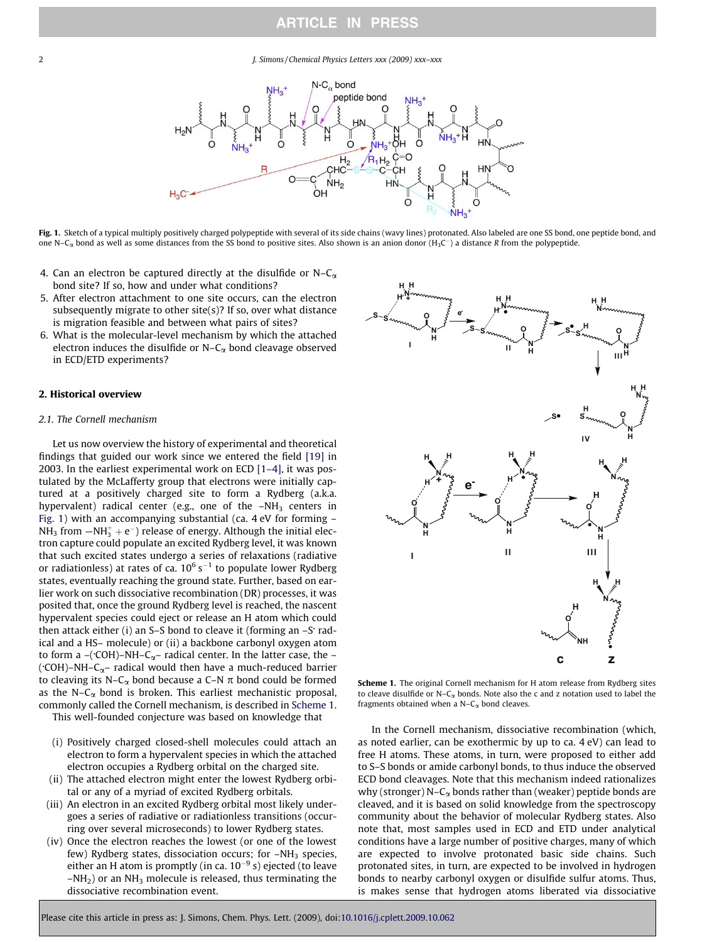<span id="page-1-0"></span>2 J. Simons / Chemical Physics Letters xxx (2009) xxx–xxx



Fig. 1. Sketch of a typical multiply positively charged polypeptide with several of its side chains (wavy lines) protonated. Also labeled are one SS bond, one peptide bond, and one N–C<sub> $\alpha$ </sub> bond as well as some distances from the SS bond to positive sites. Also shown is an anion donor (H<sub>3</sub>C<sup>-</sup>) a distance R from the polypeptide.

- 4. Can an electron be captured directly at the disulfide or  $N-C_{\alpha}$ bond site? If so, how and under what conditions?
- 5. After electron attachment to one site occurs, can the electron subsequently migrate to other site(s)? If so, over what distance is migration feasible and between what pairs of sites?
- 6. What is the molecular-level mechanism by which the attached electron induces the disulfide or  $N-C_{\alpha}$  bond cleavage observed in ECD/ETD experiments?

### 2. Historical overview

### 2.1. The Cornell mechanism

Let us now overview the history of experimental and theoretical findings that guided our work since we entered the field [\[19\]](#page-13-0) in 2003. In the earliest experimental work on ECD [\[1–4\]](#page-13-0), it was postulated by the McLafferty group that electrons were initially captured at a positively charged site to form a Rydberg (a.k.a. hypervalent) radical center (e.g., one of the -NH<sub>3</sub> centers in Fig. 1) with an accompanying substantial (ca. 4 eV for forming – NH<sub>3</sub> from  $-MH_3^+ + e^-$ ) release of energy. Although the initial electron capture could populate an excited Rydberg level, it was known that such excited states undergo a series of relaxations (radiative or radiationless) at rates of ca. 10 $^6$  s $^{-1}$  to populate lower Rydberg states, eventually reaching the ground state. Further, based on earlier work on such dissociative recombination (DR) processes, it was posited that, once the ground Rydberg level is reached, the nascent hypervalent species could eject or release an H atom which could then attack either (i) an S-S bond to cleave it (forming an -S· radical and a HS– molecule) or (ii) a backbone carbonyl oxygen atom to form a  $-($  COH)–NH–C<sub> $\alpha$ </sub>– radical center. In the latter case, the – ('COH)–NH–C<sub> $\alpha$ </sub>– radical would then have a much-reduced barrier to cleaving its N–C<sub> $\alpha$ </sub> bond because a C–N  $\pi$  bond could be formed as the N– $C_{\alpha}$  bond is broken. This earliest mechanistic proposal, commonly called the Cornell mechanism, is described in Scheme 1.

This well-founded conjecture was based on knowledge that

- (i) Positively charged closed-shell molecules could attach an electron to form a hypervalent species in which the attached electron occupies a Rydberg orbital on the charged site.
- (ii) The attached electron might enter the lowest Rydberg orbital or any of a myriad of excited Rydberg orbitals.
- (iii) An electron in an excited Rydberg orbital most likely undergoes a series of radiative or radiationless transitions (occurring over several microseconds) to lower Rydberg states.
- (iv) Once the electron reaches the lowest (or one of the lowest few) Rydberg states, dissociation occurs; for  $-NH_3$  species, either an H atom is promptly (in ca.  $10^{-9}$  s) ejected (to leave  $-NH<sub>2</sub>$ ) or an  $NH<sub>3</sub>$  molecule is released, thus terminating the dissociative recombination event.



Scheme 1. The original Cornell mechanism for H atom release from Rydberg sites to cleave disulfide or N–C<sub> $\alpha$ </sub> bonds. Note also the c and z notation used to label the fragments obtained when a  $N-C_{\alpha}$  bond cleaves.

In the Cornell mechanism, dissociative recombination (which, as noted earlier, can be exothermic by up to ca. 4 eV) can lead to free H atoms. These atoms, in turn, were proposed to either add to S–S bonds or amide carbonyl bonds, to thus induce the observed ECD bond cleavages. Note that this mechanism indeed rationalizes why (stronger) N–C<sub> $\alpha$ </sub> bonds rather than (weaker) peptide bonds are cleaved, and it is based on solid knowledge from the spectroscopy community about the behavior of molecular Rydberg states. Also note that, most samples used in ECD and ETD under analytical conditions have a large number of positive charges, many of which are expected to involve protonated basic side chains. Such protonated sites, in turn, are expected to be involved in hydrogen bonds to nearby carbonyl oxygen or disulfide sulfur atoms. Thus, is makes sense that hydrogen atoms liberated via dissociative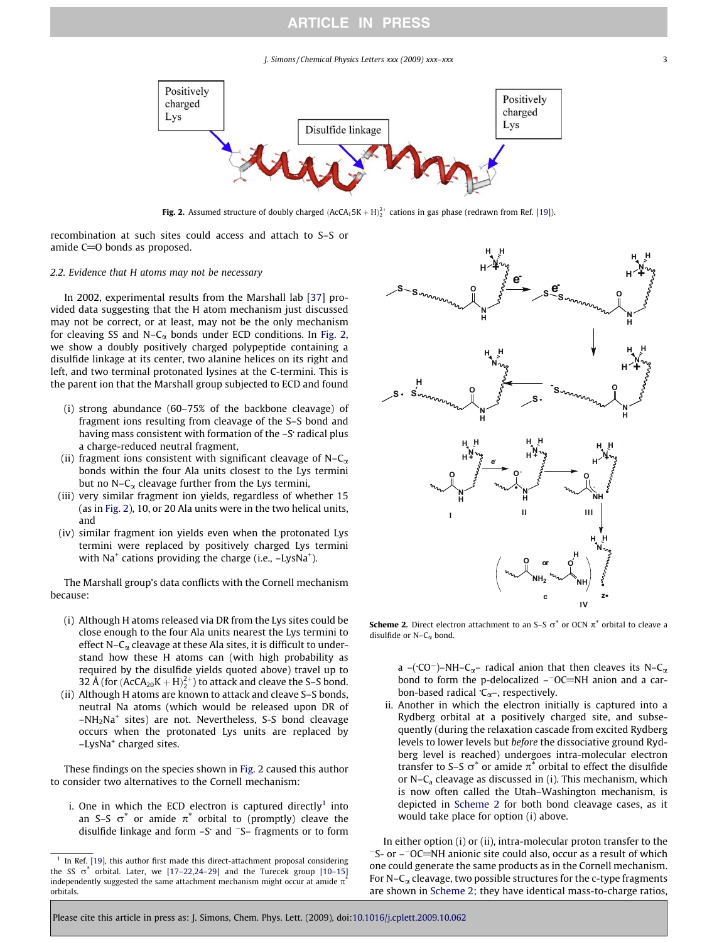J. Simons / Chemical Physics Letters xxx (2009) xxx–xxx 3

<span id="page-2-0"></span>

**Fig. 2.** Assumed structure of doubly charged  $(AcCA_15K + H)_2^{2+}$  cations in gas phase (redrawn from Ref. [\[19\]](#page-13-0)).

recombination at such sites could access and attach to S–S or amide  $C=0$  bonds as proposed.

## 2.2. Evidence that H atoms may not be necessary

In 2002, experimental results from the Marshall lab [\[37\]](#page-14-0) provided data suggesting that the H atom mechanism just discussed may not be correct, or at least, may not be the only mechanism for cleaving SS and N–C $_{\alpha}$  bonds under ECD conditions. In Fig. 2, we show a doubly positively charged polypeptide containing a disulfide linkage at its center, two alanine helices on its right and left, and two terminal protonated lysines at the C-termini. This is the parent ion that the Marshall group subjected to ECD and found

- (i) strong abundance (60–75% of the backbone cleavage) of fragment ions resulting from cleavage of the S–S bond and having mass consistent with formation of the -S· radical plus a charge-reduced neutral fragment,
- (ii) fragment ions consistent with significant cleavage of N–C $_{\alpha}$ bonds within the four Ala units closest to the Lys termini but no  $N-C_{\alpha}$  cleavage further from the Lys termini,
- (iii) very similar fragment ion yields, regardless of whether 15 (as in Fig. 2), 10, or 20 Ala units were in the two helical units, and
- (iv) similar fragment ion yields even when the protonated Lys termini were replaced by positively charged Lys termini with Na<sup>+</sup> cations providing the charge (i.e., -LysNa<sup>+</sup>).

The Marshall group's data conflicts with the Cornell mechanism because:

- (i) Although H atoms released via DR from the Lys sites could be close enough to the four Ala units nearest the Lys termini to effect N–C<sub> $\alpha$ </sub> cleavage at these Ala sites, it is difficult to understand how these H atoms can (with high probability as required by the disulfide yields quoted above) travel up to 32 Å (for  $(AccA_{20}K + H)^{2+}_{2}$ ) to attack and cleave the S–S bond.
- (ii) Although H atoms are known to attack and cleave S–S bonds, neutral Na atoms (which would be released upon DR of  $-NH<sub>2</sub>Na<sup>+</sup>$  sites) are not. Nevertheless, S-S bond cleavage occurs when the protonated Lys units are replaced by –LysNa+ charged sites.

These findings on the species shown in Fig. 2 caused this author to consider two alternatives to the Cornell mechanism:

i. One in which the ECD electron is captured directly<sup>1</sup> into an S–S  $\sigma^*$  or amide  $\pi^*$  orbital to (promptly) cleave the disulfide linkage and form  $-S$  and  $-S$ -fragments or to form



**Scheme 2.** Direct electron attachment to an S–S  $\sigma^*$  or OCN  $\pi^*$  orbital to cleave a disulfide or  $N-C_{\alpha}$  bond.

a -( $°C$ O<sup>-</sup>)-NH-C<sub> $\alpha$ </sub>- radical anion that then cleaves its N-C<sub>o</sub> bond to form the p-delocalized -<sup>-</sup>OC=NH anion and a carbon-based radical  $C_{\alpha-}$ , respectively.

ii. Another in which the electron initially is captured into a Rydberg orbital at a positively charged site, and subsequently (during the relaxation cascade from excited Rydberg levels to lower levels but before the dissociative ground Rydberg level is reached) undergoes intra-molecular electron transfer to S–S  $\sigma^*$  or amide  $\pi^*$  orbital to effect the disulfide or  $N-C<sub>a</sub>$  cleavage as discussed in (i). This mechanism, which is now often called the Utah–Washington mechanism, is depicted in Scheme 2 for both bond cleavage cases, as it would take place for option (i) above.

In either option (i) or (ii), intra-molecular proton transfer to the -S- or -<sup>-</sup>OC=NH anionic site could also, occur as a result of which one could generate the same products as in the Cornell mechanism. For N– $C_{\alpha}$  cleavage, two possible structures for the c-type fragments are shown in Scheme 2; they have identical mass-to-charge ratios,

 $1$  In Ref. [\[19\]](#page-13-0), this author first made this direct-attachment proposal considering the SS  $\sigma^*$  orbital. Later, we [\[17–22,24–29\]](#page-13-0) and the Turecek group [\[10–15\]](#page-13-0) independently suggested the same attachment mechanism might occur at amide  $\pi^{\dagger}$ orbitals.

Please cite this article in press as: J. Simons, Chem. Phys. Lett. (2009), doi:[10.1016/j.cplett.2009.10.062](http://dx.doi.org/10.1016/j.cplett.2009.10.062)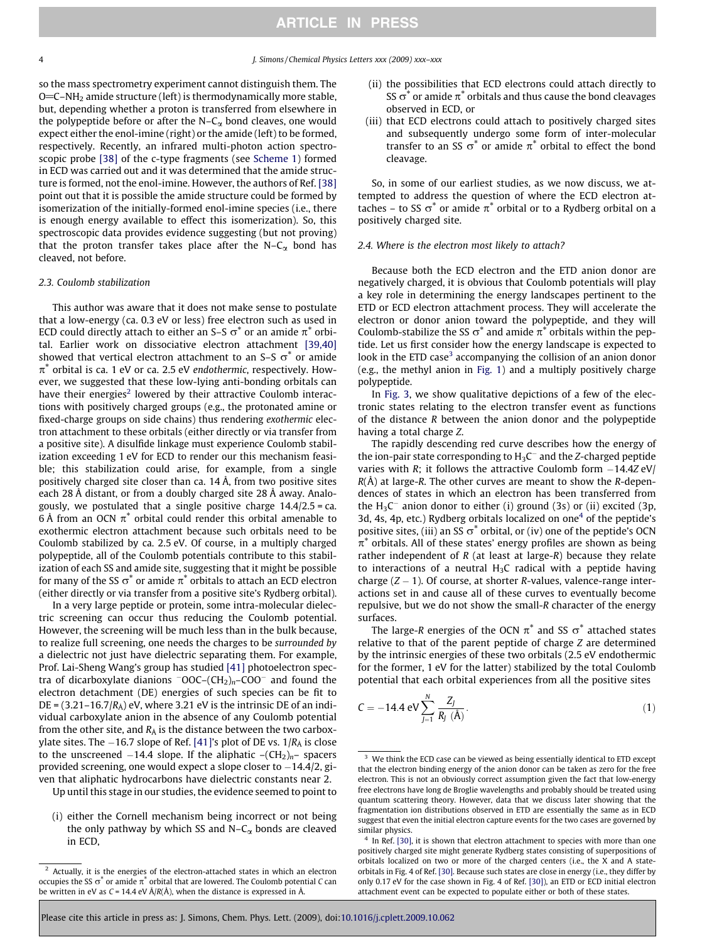so the mass spectrometry experiment cannot distinguish them. The  $O=C-NH<sub>2</sub>$  amide structure (left) is thermodynamically more stable, but, depending whether a proton is transferred from elsewhere in the polypeptide before or after the N– $C_{\alpha}$  bond cleaves, one would expect either the enol-imine (right) or the amide (left) to be formed, respectively. Recently, an infrared multi-photon action spectroscopic probe [\[38\]](#page-14-0) of the c-type fragments (see [Scheme 1\)](#page-1-0) formed in ECD was carried out and it was determined that the amide structure is formed, not the enol-imine. However, the authors of Ref. [\[38\]](#page-14-0) point out that it is possible the amide structure could be formed by isomerization of the initially-formed enol-imine species (i.e., there is enough energy available to effect this isomerization). So, this spectroscopic data provides evidence suggesting (but not proving) that the proton transfer takes place after the N–C<sub> $\alpha$ </sub> bond has cleaved, not before.

### 2.3. Coulomb stabilization

This author was aware that it does not make sense to postulate that a low-energy (ca. 0.3 eV or less) free electron such as used in ECD could directly attach to either an S–S  $\sigma^*$  or an amide  $\pi^*$  orbital. Earlier work on dissociative electron attachment [\[39,40\]](#page-14-0) showed that vertical electron attachment to an S–S  $\sigma^*$  or amide  $\pi^*$  orbital is ca. 1 eV or ca. 2.5 eV endothermic, respectively. However, we suggested that these low-lying anti-bonding orbitals can have their energies<sup>2</sup> lowered by their attractive Coulomb interactions with positively charged groups (e.g., the protonated amine or fixed-charge groups on side chains) thus rendering exothermic electron attachment to these orbitals (either directly or via transfer from a positive site). A disulfide linkage must experience Coulomb stabilization exceeding 1 eV for ECD to render our this mechanism feasible; this stabilization could arise, for example, from a single positively charged site closer than ca. 14 Å, from two positive sites each 28 Å distant, or from a doubly charged site 28 Å away. Analogously, we postulated that a single positive charge  $14.4/2.5$  = ca. 6 Å from an OCN  $\pi^*$  orbital could render this orbital amenable to exothermic electron attachment because such orbitals need to be Coulomb stabilized by ca. 2.5 eV. Of course, in a multiply charged polypeptide, all of the Coulomb potentials contribute to this stabilization of each SS and amide site, suggesting that it might be possible for many of the SS  $\sigma^*$  or amide  $\pi^*$  orbitals to attach an ECD electron (either directly or via transfer from a positive site's Rydberg orbital).

In a very large peptide or protein, some intra-molecular dielectric screening can occur thus reducing the Coulomb potential. However, the screening will be much less than in the bulk because, to realize full screening, one needs the charges to be surrounded by a dielectric not just have dielectric separating them. For example, Prof. Lai-Sheng Wang's group has studied [\[41\]](#page-14-0) photoelectron spectra of dicarboxylate dianions  $\overline{OOC}$ - $\overline{\text{CH}_2}$ <sub>n</sub>- $\overline{\text{COO}}$  and found the electron detachment (DE) energies of such species can be fit to DE =  $(3.21-16.7/R<sub>A</sub>)$  eV, where 3.21 eV is the intrinsic DE of an individual carboxylate anion in the absence of any Coulomb potential from the other site, and  $R_A$  is the distance between the two carboxylate sites. The  $-16.7$  slope of Ref. [\[41\]'](#page-14-0)s plot of DE vs.  $1/R_{\rm A}$  is close to the unscreened  $-14.4$  slope. If the aliphatic  $-(\text{CH}_2)_n$ – spacers provided screening, one would expect a slope closer to –14.4/2, given that aliphatic hydrocarbons have dielectric constants near 2.

Up until this stage in our studies, the evidence seemed to point to

(i) either the Cornell mechanism being incorrect or not being the only pathway by which SS and  $N-C_{\alpha}$  bonds are cleaved in ECD,

- (ii) the possibilities that ECD electrons could attach directly to SS  $\sigma^*$  or amide  $\pi^*$  orbitals and thus cause the bond cleavages observed in ECD, or
- (iii) that ECD electrons could attach to positively charged sites and subsequently undergo some form of inter-molecular transfer to an SS  $\sigma^*$  or amide  $\pi^*$  orbital to effect the bond cleavage.

So, in some of our earliest studies, as we now discuss, we attempted to address the question of where the ECD electron attaches – to SS  $\sigma^*$  or amide  $\pi^*$  orbital or to a Rydberg orbital on a positively charged site.

### 2.4. Where is the electron most likely to attach?

Because both the ECD electron and the ETD anion donor are negatively charged, it is obvious that Coulomb potentials will play a key role in determining the energy landscapes pertinent to the ETD or ECD electron attachment process. They will accelerate the electron or donor anion toward the polypeptide, and they will Coulomb-stabilize the SS  $\sigma^*$  and amide  $\pi^*$  orbitals within the peptide. Let us first consider how the energy landscape is expected to look in the ETD case<sup>3</sup> accompanying the collision of an anion donor (e.g., the methyl anion in [Fig. 1\)](#page-1-0) and a multiply positively charge polypeptide.

In [Fig. 3,](#page-4-0) we show qualitative depictions of a few of the electronic states relating to the electron transfer event as functions of the distance R between the anion donor and the polypeptide having a total charge Z.

The rapidly descending red curve describes how the energy of the ion-pair state corresponding to  $H_3C^-$  and the Z-charged peptide varies with R; it follows the attractive Coulomb form  $-14.4Z$  eV  $R(\AA)$  at large-R. The other curves are meant to show the R-dependences of states in which an electron has been transferred from the  $H_3C^-$  anion donor to either (i) ground (3s) or (ii) excited (3p, 3d, 4s, 4p, etc.) Rydberg orbitals localized on one<sup>4</sup> of the peptide's positive sites, (iii) an SS  $\sigma^*$  orbital, or (iv) one of the peptide's OCN  $\pi^*$  orbitals. All of these states' energy profiles are shown as being rather independent of  $R$  (at least at large- $R$ ) because they relate to interactions of a neutral  $H_3C$  radical with a peptide having charge  $(Z - 1)$ . Of course, at shorter R-values, valence-range interactions set in and cause all of these curves to eventually become repulsive, but we do not show the small-R character of the energy surfaces.

The large-R energies of the OCN  $\pi^*$  and SS  $\sigma^*$  attached states relative to that of the parent peptide of charge Z are determined by the intrinsic energies of these two orbitals (2.5 eV endothermic for the former, 1 eV for the latter) stabilized by the total Coulomb potential that each orbital experiences from all the positive sites

$$
C = -14.4 \text{ eV} \sum_{j=1}^{N} \frac{Z_j}{R_j (\text{\AA})}.
$$
 (1)

 $2$  Actually, it is the energies of the electron-attached states in which an electron occupies the SS  $\sigma^*$  or amide  $\pi^*$  orbital that are lowered. The Coulomb potential C can be written in eV as  $C = 14.4$  eV  $\AA/R(\AA)$ , when the distance is expressed in  $\AA$ .

<sup>&</sup>lt;sup>3</sup> We think the ECD case can be viewed as being essentially identical to ETD except that the electron binding energy of the anion donor can be taken as zero for the free electron. This is not an obviously correct assumption given the fact that low-energy free electrons have long de Broglie wavelengths and probably should be treated using quantum scattering theory. However, data that we discuss later showing that the fragmentation ion distributions observed in ETD are essentially the same as in ECD suggest that even the initial electron capture events for the two cases are governed by similar physics.

<sup>&</sup>lt;sup>4</sup> In Ref. [\[30\],](#page-14-0) it is shown that electron attachment to species with more than one positively charged site might generate Rydberg states consisting of superpositions of orbitals localized on two or more of the charged centers (i.e., the X and A stateorbitals in Fig. 4 of Ref. [\[30\].](#page-14-0) Because such states are close in energy (i.e., they differ by only 0.17 eV for the case shown in Fig. 4 of Ref. [\[30\]\)](#page-14-0), an ETD or ECD initial electron attachment event can be expected to populate either or both of these states.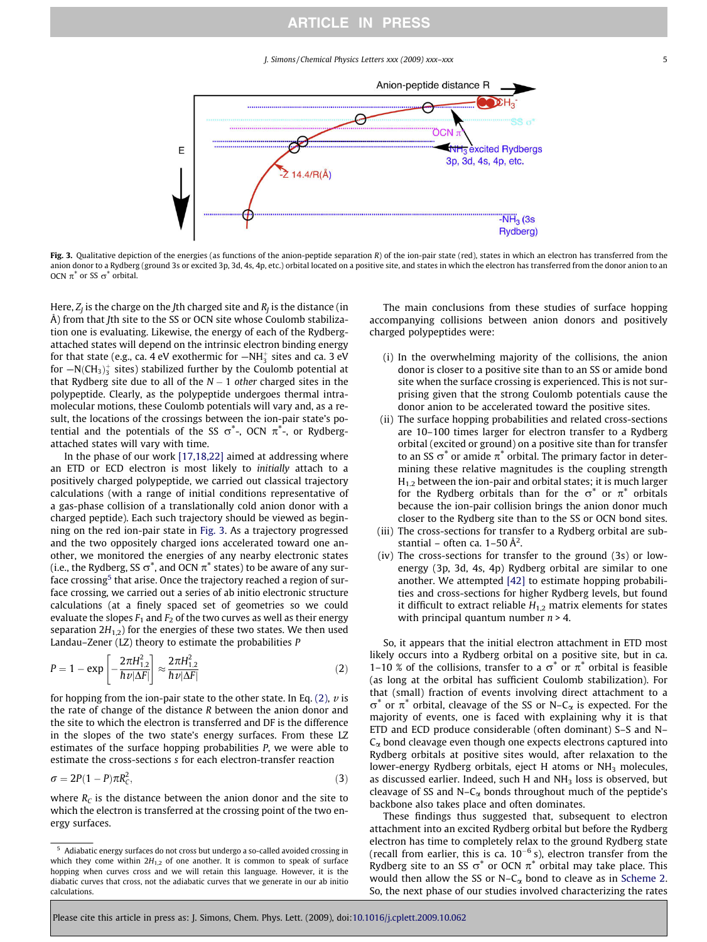J. Simons / Chemical Physics Letters xxx (2009) xxx–xxx 5

<span id="page-4-0"></span>

Fig. 3. Qualitative depiction of the energies (as functions of the anion-peptide separation R) of the ion-pair state (red), states in which an electron has transferred from the anion donor to a Rydberg (ground 3s or excited 3p, 3d, 4s, 4p, etc.) orbital located on a positive site, and states in which the electron has transferred from the donor anion to an OCN  $\pi^*$  or SS  $\sigma^*$  orbital.

Here,  $Z_I$  is the charge on the *J*th charged site and  $R_I$  is the distance (in Å) from that *J*th site to the SS or OCN site whose Coulomb stabilization one is evaluating. Likewise, the energy of each of the Rydbergattached states will depend on the intrinsic electron binding energy for that state (e.g., ca. 4 eV exothermic for  $-\mathrm{NH}_3^+$  sites and ca. 3 eV for  $-NCH_3)^+_3$  sites) stabilized further by the Coulomb potential at that Rydberg site due to all of the  $N-1$  *other charged sites in the* polypeptide. Clearly, as the polypeptide undergoes thermal intramolecular motions, these Coulomb potentials will vary and, as a result, the locations of the crossings between the ion-pair state's potential and the potentials of the SS  $\sigma^*$ -, OCN  $\pi^*$ -, or Rydbergattached states will vary with time.

In the phase of our work [\[17,18,22\]](#page-13-0) aimed at addressing where an ETD or ECD electron is most likely to initially attach to a positively charged polypeptide, we carried out classical trajectory calculations (with a range of initial conditions representative of a gas-phase collision of a translationally cold anion donor with a charged peptide). Each such trajectory should be viewed as beginning on the red ion-pair state in Fig. 3. As a trajectory progressed and the two oppositely charged ions accelerated toward one another, we monitored the energies of any nearby electronic states (i.e., the Rydberg, SS  $\sigma^*$ , and OCN  $\pi^*$  states) to be aware of any surface crossing<sup>5</sup> that arise. Once the trajectory reached a region of surface crossing, we carried out a series of ab initio electronic structure calculations (at a finely spaced set of geometries so we could evaluate the slopes  $F_1$  and  $F_2$  of the two curves as well as their energy separation  $2H_{1,2}$ ) for the energies of these two states. We then used Landau–Zener (LZ) theory to estimate the probabilities P

$$
P = 1 - \exp\left[-\frac{2\pi H_{1,2}^2}{\hbar v |\Delta F|}\right] \approx \frac{2\pi H_{1,2}^2}{\hbar v |\Delta F|}
$$
 (2)

for hopping from the ion-pair state to the other state. In Eq. (2),  $\nu$  is the rate of change of the distance R between the anion donor and the site to which the electron is transferred and DF is the difference in the slopes of the two state's energy surfaces. From these LZ estimates of the surface hopping probabilities P, we were able to estimate the cross-sections s for each electron-transfer reaction

$$
\sigma = 2P(1 - P)\pi R_c^2,\tag{3}
$$

where  $R_C$  is the distance between the anion donor and the site to which the electron is transferred at the crossing point of the two energy surfaces.

The main conclusions from these studies of surface hopping accompanying collisions between anion donors and positively charged polypeptides were:

- (i) In the overwhelming majority of the collisions, the anion donor is closer to a positive site than to an SS or amide bond site when the surface crossing is experienced. This is not surprising given that the strong Coulomb potentials cause the donor anion to be accelerated toward the positive sites.
- (ii) The surface hopping probabilities and related cross-sections are 10–100 times larger for electron transfer to a Rydberg orbital (excited or ground) on a positive site than for transfer to an SS  $\sigma^*$  or amide  $\pi^*$  orbital. The primary factor in determining these relative magnitudes is the coupling strength H1.2 between the ion-pair and orbital states; it is much larger for the Rydberg orbitals than for the  $\sigma^*$  or  $\pi^*$  orbitals because the ion-pair collision brings the anion donor much closer to the Rydberg site than to the SS or OCN bond sites.
- (iii) The cross-sections for transfer to a Rydberg orbital are substantial – often ca.  $1-50 \text{ Å}^2$ .
- (iv) The cross-sections for transfer to the ground (3s) or lowenergy (3p, 3d, 4s, 4p) Rydberg orbital are similar to one another. We attempted [\[42\]](#page-14-0) to estimate hopping probabilities and cross-sections for higher Rydberg levels, but found it difficult to extract reliable  $H_{1,2}$  matrix elements for states with principal quantum number  $n > 4$ .

So, it appears that the initial electron attachment in ETD most likely occurs into a Rydberg orbital on a positive site, but in ca. 1–10 % of the collisions, transfer to a  $\sigma^*$  or  $\pi^*$  orbital is feasible (as long at the orbital has sufficient Coulomb stabilization). For that (small) fraction of events involving direct attachment to a  $\sigma^*$  or  $\pi^*$  orbital, cleavage of the SS or N–C<sub> $\alpha$ </sub> is expected. For the majority of events, one is faced with explaining why it is that ETD and ECD produce considerable (often dominant) S–S and N–  $C_{\alpha}$  bond cleavage even though one expects electrons captured into Rydberg orbitals at positive sites would, after relaxation to the lower-energy Rydberg orbitals, eject H atoms or NH<sub>3</sub> molecules, as discussed earlier. Indeed, such H and  $NH<sub>3</sub>$  loss is observed, but cleavage of SS and N– $C_{\alpha}$  bonds throughout much of the peptide's backbone also takes place and often dominates.

These findings thus suggested that, subsequent to electron attachment into an excited Rydberg orbital but before the Rydberg electron has time to completely relax to the ground Rydberg state (recall from earlier, this is ca.  $10^{-6}$  s), electron transfer from the Rydberg site to an SS  $\sigma^*$  or OCN  $\pi^*$  orbital may take place. This would then allow the SS or N–C $_{\alpha}$  bond to cleave as in [Scheme 2.](#page-2-0) So, the next phase of our studies involved characterizing the rates

 $5$  Adiabatic energy surfaces do not cross but undergo a so-called avoided crossing in which they come within  $2H_{1,2}$  of one another. It is common to speak of surface hopping when curves cross and we will retain this language. However, it is the diabatic curves that cross, not the adiabatic curves that we generate in our ab initio calculations.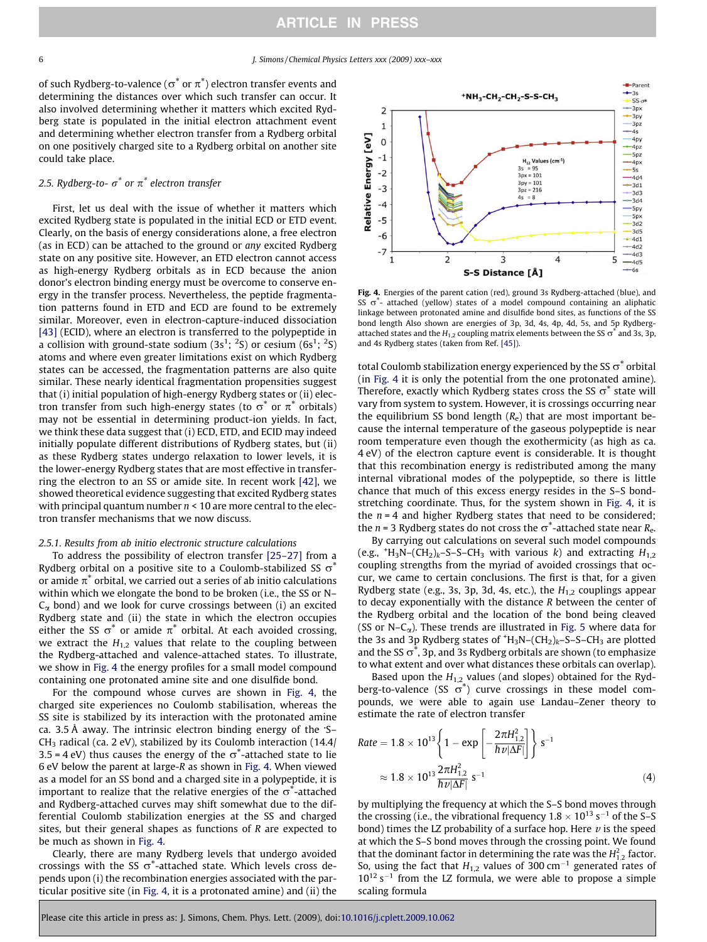<span id="page-5-0"></span>of such Rydberg-to-valence ( $\sigma^*$  or  $\pi^*$ ) electron transfer events and determining the distances over which such transfer can occur. It also involved determining whether it matters which excited Rydberg state is populated in the initial electron attachment event and determining whether electron transfer from a Rydberg orbital on one positively charged site to a Rydberg orbital on another site could take place.

# 2.5. Rydberg-to-  $\sigma^*$  or  $\pi^*$  electron transfer

First, let us deal with the issue of whether it matters which excited Rydberg state is populated in the initial ECD or ETD event. Clearly, on the basis of energy considerations alone, a free electron (as in ECD) can be attached to the ground or any excited Rydberg state on any positive site. However, an ETD electron cannot access as high-energy Rydberg orbitals as in ECD because the anion donor's electron binding energy must be overcome to conserve energy in the transfer process. Nevertheless, the peptide fragmentation patterns found in ETD and ECD are found to be extremely similar. Moreover, even in electron-capture-induced dissociation [\[43\]](#page-14-0) (ECID), where an electron is transferred to the polypeptide in a collision with ground-state sodium (3s<sup>1</sup>; <sup>2</sup>S) or cesium (6s<sup>1</sup>; <sup>2</sup>S) atoms and where even greater limitations exist on which Rydberg states can be accessed, the fragmentation patterns are also quite similar. These nearly identical fragmentation propensities suggest that (i) initial population of high-energy Rydberg states or (ii) electron transfer from such high-energy states (to  $\sigma^*$  or  $\pi^*$  orbitals) may not be essential in determining product-ion yields. In fact, we think these data suggest that (i) ECD, ETD, and ECID may indeed initially populate different distributions of Rydberg states, but (ii) as these Rydberg states undergo relaxation to lower levels, it is the lower-energy Rydberg states that are most effective in transferring the electron to an SS or amide site. In recent work [\[42\]](#page-14-0), we showed theoretical evidence suggesting that excited Rydberg states with principal quantum number  $n < 10$  are more central to the electron transfer mechanisms that we now discuss.

#### 2.5.1. Results from ab initio electronic structure calculations

To address the possibility of electron transfer [\[25–27\]](#page-14-0) from a Rydberg orbital on a positive site to a Coulomb-stabilized SS  $\sigma^*$ or amide  $\pi^*$  orbital, we carried out a series of ab initio calculations within which we elongate the bond to be broken (i.e., the SS or N–  $C_{\alpha}$  bond) and we look for curve crossings between (i) an excited Rydberg state and (ii) the state in which the electron occupies either the SS  $\sigma^*$  or amide  $\pi^*$  orbital. At each avoided crossing, we extract the  $H_{1,2}$  values that relate to the coupling between the Rydberg-attached and valence-attached states. To illustrate, we show in Fig. 4 the energy profiles for a small model compound containing one protonated amine site and one disulfide bond.

For the compound whose curves are shown in Fig. 4, the charged site experiences no Coulomb stabilisation, whereas the SS site is stabilized by its interaction with the protonated amine ca. 3.5 Å away. The intrinsic electron binding energy of the 'S- $CH<sub>3</sub>$  radical (ca. 2 eV), stabilized by its Coulomb interaction (14.4/ 3.5 = 4 eV) thus causes the energy of the  $\sigma^*$ -attached state to lie 6 eV below the parent at large-R as shown in Fig. 4. When viewed as a model for an SS bond and a charged site in a polypeptide, it is important to realize that the relative energies of the  $\sigma^*$ -attached and Rydberg-attached curves may shift somewhat due to the differential Coulomb stabilization energies at the SS and charged sites, but their general shapes as functions of R are expected to be much as shown in Fig. 4.

Clearly, there are many Rydberg levels that undergo avoided crossings with the SS  $\sigma^*$ -attached state. Which levels cross depends upon (i) the recombination energies associated with the particular positive site (in Fig. 4, it is a protonated amine) and (ii) the



Fig. 4. Energies of the parent cation (red), ground 3s Rydberg-attached (blue), and SS  $\sigma^*$ - attached (yellow) states of a model compound containing an aliphatic linkage between protonated amine and disulfide bond sites, as functions of the SS bond length Also shown are energies of 3p, 3d, 4s, 4p, 4d, 5s, and 5p Rydbergattached states and the  $H_{1,2}$  coupling matrix elements between the SS  $\sigma^*$  and 3s, 3p, and 4s Rydberg states (taken from Ref. [\[45\]\)](#page-14-0).

total Coulomb stabilization energy experienced by the SS  $\sigma^*$  orbital (in Fig. 4 it is only the potential from the one protonated amine). Therefore, exactly which Rydberg states cross the SS  $\sigma^*$  state will vary from system to system. However, it is crossings occurring near the equilibrium SS bond length  $(R_e)$  that are most important because the internal temperature of the gaseous polypeptide is near room temperature even though the exothermicity (as high as ca. 4 eV) of the electron capture event is considerable. It is thought that this recombination energy is redistributed among the many internal vibrational modes of the polypeptide, so there is little chance that much of this excess energy resides in the S–S bondstretching coordinate. Thus, for the system shown in Fig. 4, it is the  $n = 4$  and higher Rydberg states that need to be considered; the  $n = 3$  Rydberg states do not cross the  $\sigma^*$ -attached state near  $R_e$ .

By carrying out calculations on several such model compounds (e.g.,  $H_3N-(CH_2)_k-S-S-CH_3$  with various k) and extracting  $H_{1,2}$ coupling strengths from the myriad of avoided crossings that occur, we came to certain conclusions. The first is that, for a given Rydberg state (e.g., 3s, 3p, 3d, 4s, etc.), the  $H_{12}$  couplings appear to decay exponentially with the distance R between the center of the Rydberg orbital and the location of the bond being cleaved (SS or N– $C_{\alpha}$ ). These trends are illustrated in [Fig. 5](#page-6-0) where data for the 3s and 3p Rydberg states of  $H_3N-(CH_2)_k-S-S-CH_3$  are plotted and the SS  $\sigma^*$ , 3p, and 3s Rydberg orbitals are shown (to emphasize to what extent and over what distances these orbitals can overlap).

Based upon the  $H_{1,2}$  values (and slopes) obtained for the Rydberg-to-valence (SS  $\sigma^*$ ) curve crossings in these model compounds, we were able to again use Landau–Zener theory to estimate the rate of electron transfer

$$
Rate = 1.8 \times 10^{13} \left\{ 1 - \exp\left[ -\frac{2\pi H_{1,2}^2}{\hbar v |\Delta F|} \right] \right\} s^{-1}
$$

$$
\approx 1.8 \times 10^{13} \frac{2\pi H_{1,2}^2}{\hbar v |\Delta F|} s^{-1}
$$
(4)

by multiplying the frequency at which the S–S bond moves through the crossing (i.e., the vibrational frequency  $1.8 \times 10^{13}$  s<sup>-1</sup> of the S-S bond) times the LZ probability of a surface hop. Here  $\nu$  is the speed at which the S–S bond moves through the crossing point. We found that the dominant factor in determining the rate was the  $H_{1,2}^2$  factor. So, using the fact that  $H_{1,2}$  values of 300 cm<sup>-1</sup> generated rates of  $10^{12}$  s<sup>-1</sup> from the LZ formula, we were able to propose a simple scaling formula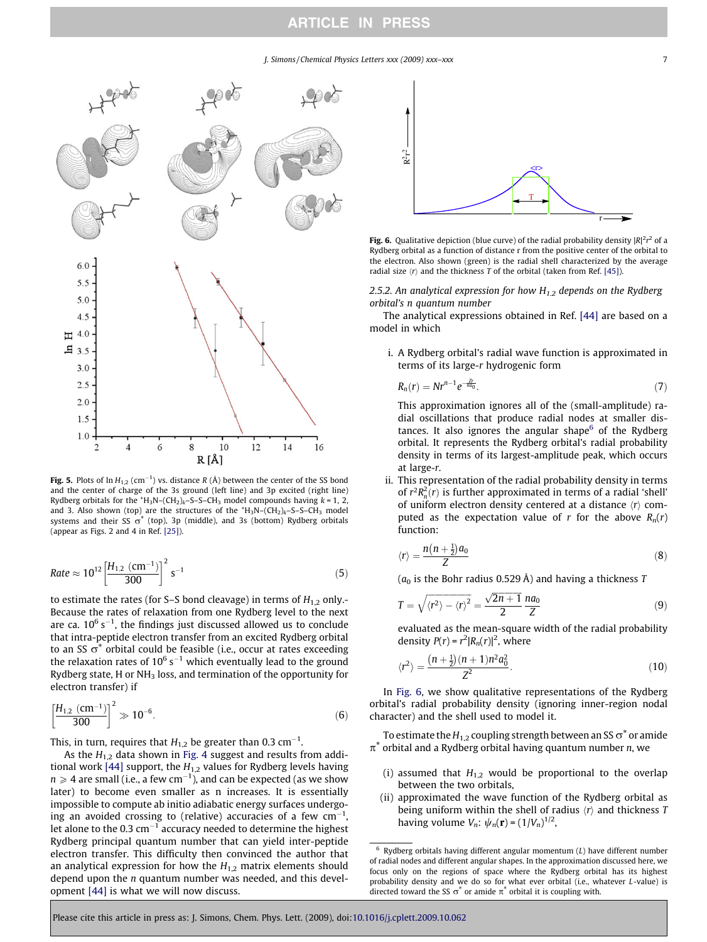<span id="page-6-0"></span>

**Fig. 5.** Plots of  $\ln H_{1,2}$  (cm<sup>-1</sup>) vs. distance R (Å) between the center of the SS bond and the center of charge of the 3s ground (left line) and 3p excited (right line) Rydberg orbitals for the  $(H_3N-(CH_2)_k-S-CH_3 \text{ model compounds having } k=1, 2,$ and 3. Also shown (top) are the structures of the  $H_3N-(CH_2)_k-S-S-CH_3$  model systems and their SS  $\sigma^*$  (top), 3p (middle), and 3s (bottom) Rydberg orbitals (appear as Figs. 2 and 4 in Ref. [\[25\]\)](#page-14-0).

$$
Rate \approx 10^{12} \left[ \frac{H_{1,2} (cm^{-1})}{300} \right]^2 \text{s}^{-1}
$$
 (5)

to estimate the rates (for S–S bond cleavage) in terms of  $H_{1,2}$  only.-Because the rates of relaxation from one Rydberg level to the next are ca.  $10^6$  s<sup>-1</sup>, the findings just discussed allowed us to conclude that intra-peptide electron transfer from an excited Rydberg orbital to an SS  $\sigma^*$  orbital could be feasible (i.e., occur at rates exceeding the relaxation rates of  $10^6\,{\rm s}^{-1}$  which eventually lead to the ground Rydberg state, H or  $NH<sub>3</sub>$  loss, and termination of the opportunity for electron transfer) if

$$
\left[\frac{H_{1,2} (cm^{-1})}{300}\right]^2 \gg 10^{-6}.
$$
 (6)

This, in turn, requires that  $H_{1,2}$  be greater than 0.3  $\rm cm^{-1}.$ 

As the  $H_{1,2}$  data shown in [Fig. 4](#page-5-0) suggest and results from addi-tional work [\[44\]](#page-14-0) support, the  $H_{1,2}$  values for Rydberg levels having  $n\geqslant 4$  are small (i.e., a few cm $^{-1}$ ), and can be expected (as we show later) to become even smaller as n increases. It is essentially impossible to compute ab initio adiabatic energy surfaces undergoing an avoided crossing to (relative) accuracies of a few  $\text{cm}^{-1}$ , let alone to the 0.3 cm $^{-1}$  accuracy needed to determine the highest Rydberg principal quantum number that can yield inter-peptide electron transfer. This difficulty then convinced the author that an analytical expression for how the  $H_{1,2}$  matrix elements should depend upon the  $n$  quantum number was needed, and this development [\[44\]](#page-14-0) is what we will now discuss.



**Fig. 6.** Qualitative depiction (blue curve) of the radial probability density  $|R|^2r^2$  of a Rydberg orbital as a function of distance r from the positive center of the orbital to the electron. Also shown (green) is the radial shell characterized by the average radial size  $\langle r \rangle$  and the thickness T of the orbital (taken from Ref. [\[45\]\)](#page-14-0).

2.5.2. An analytical expression for how  $H_{1,2}$  depends on the Rydberg orbital's n quantum number

The analytical expressions obtained in Ref. [\[44\]](#page-14-0) are based on a model in which

i. A Rydberg orbital's radial wave function is approximated in terms of its large-r hydrogenic form

$$
R_n(r) = N r^{n-1} e^{-\frac{2r}{n a_0}}.
$$
\n(7)

This approximation ignores all of the (small-amplitude) radial oscillations that produce radial nodes at smaller distances. It also ignores the angular shape $<sup>6</sup>$  of the Rydberg</sup> orbital. It represents the Rydberg orbital's radial probability density in terms of its largest-amplitude peak, which occurs at large-r.

ii. This representation of the radial probability density in terms of  $r^2 R_n^2(r)$  is further approximated in terms of a radial 'shell' of uniform electron density centered at a distance  $\langle r \rangle$  computed as the expectation value of r for the above  $R_n(r)$ function:

$$
\langle r \rangle = \frac{n(n+\frac{1}{2})a_0}{Z} \tag{8}
$$

( $a_0$  is the Bohr radius 0.529 Å) and having a thickness T

$$
T = \sqrt{\langle r^2 \rangle - \langle r \rangle^2} = \frac{\sqrt{2n+1}}{2} \frac{n a_0}{Z} \tag{9}
$$

evaluated as the mean-square width of the radial probability density  $P(r) = r^2 |R_n(r)|^2$ , where

$$
\langle r^2 \rangle = \frac{(n+\frac{1}{2})(n+1)n^2 a_0^2}{Z^2}.
$$
 (10)

In Fig. 6, we show qualitative representations of the Rydberg orbital's radial probability density (ignoring inner-region nodal character) and the shell used to model it.

To estimate the  $H_{1,2}$  coupling strength between an SS  $\sigma^*$  or amide  $\pi^*$  orbital and a Rydberg orbital having quantum number n, we

- (i) assumed that  $H_{1,2}$  would be proportional to the overlap between the two orbitals,
- (ii) approximated the wave function of the Rydberg orbital as being uniform within the shell of radius  $\langle r \rangle$  and thickness T having volume  $V_n$ :  $\psi_n(\mathbf{r}) = (1/V_n)^{1/2}$ ,

 $6$  Rydberg orbitals having different angular momentum (L) have different number of radial nodes and different angular shapes. In the approximation discussed here, we focus only on the regions of space where the Rydberg orbital has its highest probability density and we do so for what ever orbital (i.e., whatever L-value) is directed toward the SS  $\sigma^*$  or amide  $\pi^*$  orbital it is coupling with.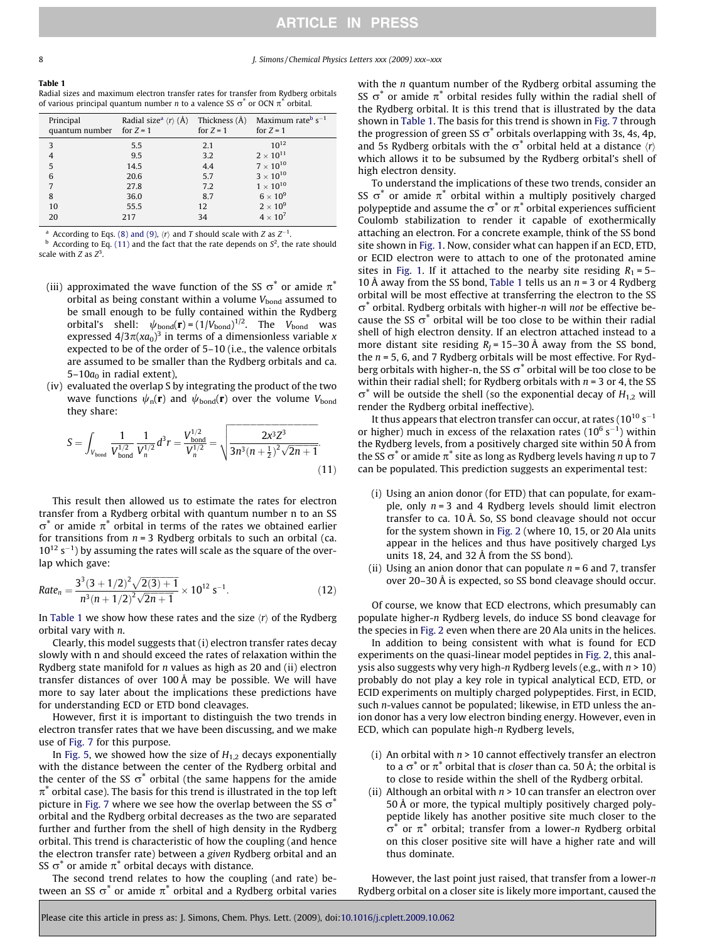<span id="page-7-0"></span>

#### Table 1

Radial sizes and maximum electron transfer rates for transfer from Rydberg orbitals of various principal quantum number *n* to a valence SS  $\sigma^*$  or OCN  $\pi^*$  orbital.

| Principal<br>quantum number | Radial size <sup>a</sup> $\langle r \rangle$ (Å)<br>for $Z = 1$ | Thickness (Å)<br>for $Z = 1$ | Maximum rate $^{\rm b}$ s <sup>-1</sup><br>for $Z = 1$ |
|-----------------------------|-----------------------------------------------------------------|------------------------------|--------------------------------------------------------|
| 3                           | 5.5                                                             | 2.1                          | $10^{12}$                                              |
| $\overline{4}$              | 9.5                                                             | 3.2                          | $2\times10^{11}$                                       |
| 5                           | 14.5                                                            | 4.4                          | $7 \times 10^{10}$                                     |
| 6                           | 20.6                                                            | 5.7                          | $3\times10^{10}$                                       |
| 7                           | 27.8                                                            | 7.2                          | $1\times10^{10}$                                       |
| 8                           | 36.0                                                            | 8.7                          | $6 \times 10^9$                                        |
| 10                          | 55.5                                                            | 12                           | $2\times10^9$                                          |
| 20                          | 217                                                             | 34                           | $4 \times 10^7$                                        |

<sup>a</sup> According to Eqs. [\(8\) and \(9\)](#page-6-0),  $\langle r \rangle$  and T should scale with Z as  $Z^{-1}$ .

<sup>b</sup> According to Eq. (11) and the fact that the rate depends on  $S^2$ , the rate should scale with  $Z$  as  $Z^3$ .

- (iii) approximated the wave function of the SS  $\sigma^*$  or amide  $\pi^*$ orbital as being constant within a volume  $V_{\text{bond}}$  assumed to be small enough to be fully contained within the Rydberg orbital's shell:  $\psi_{\text{bond}}(\mathbf{r}) = (1/V_{\text{bond}})^{1/2}$ . The  $V_{\text{bond}}$  was expressed  $4/3\pi(xa_0)^3$  in terms of a dimensionless variable x expected to be of the order of 5–10 (i.e., the valence orbitals are assumed to be smaller than the Rydberg orbitals and ca.  $5-10a<sub>0</sub>$  in radial extent),
- (iv) evaluated the overlap S by integrating the product of the two wave functions  $\psi_n(\mathbf{r})$  and  $\psi_{\text{bond}}(\mathbf{r})$  over the volume  $V_{\text{bond}}$ they share:

$$
S = \int_{V_{\text{bond}}} \frac{1}{V_{\text{bond}}^{1/2}} \frac{1}{V_n^{1/2}} d^3 r = \frac{V_{\text{bond}}^{1/2}}{V_n^{1/2}} = \sqrt{\frac{2x^3 Z^3}{3n^3 (n + \frac{1}{2})^2 \sqrt{2n + 1}}}.
$$
\n(11)

This result then allowed us to estimate the rates for electron transfer from a Rydberg orbital with quantum number n to an SS  $\sigma^*$  or amide  $\pi^*$  orbital in terms of the rates we obtained earlier for transitions from  $n = 3$  Rydberg orbitals to such an orbital (ca.  $10^{12}$  s<sup>-1</sup>) by assuming the rates will scale as the square of the overlap which gave:

$$
Rate_n = \frac{3^3(3+1/2)^2\sqrt{2(3)+1}}{n^3(n+1/2)^2\sqrt{2n+1}} \times 10^{12} \text{ s}^{-1}.
$$
 (12)

In Table 1 we show how these rates and the size  $\langle r \rangle$  of the Rydberg orbital vary with n.

Clearly, this model suggests that (i) electron transfer rates decay slowly with n and should exceed the rates of relaxation within the Rydberg state manifold for n values as high as 20 and (ii) electron transfer distances of over 100 Å may be possible. We will have more to say later about the implications these predictions have for understanding ECD or ETD bond cleavages.

However, first it is important to distinguish the two trends in electron transfer rates that we have been discussing, and we make use of [Fig. 7](#page-8-0) for this purpose.

In [Fig. 5](#page-6-0), we showed how the size of  $H<sub>1,2</sub>$  decays exponentially with the distance between the center of the Rydberg orbital and the center of the SS  $\sigma^*$  orbital (the same happens for the amide  $\pi^*$  orbital case). The basis for this trend is illustrated in the top left picture in [Fig. 7](#page-8-0) where we see how the overlap between the SS  $\sigma^*$ orbital and the Rydberg orbital decreases as the two are separated further and further from the shell of high density in the Rydberg orbital. This trend is characteristic of how the coupling (and hence the electron transfer rate) between a given Rydberg orbital and an SS  $\sigma^*$  or amide  $\pi^*$  orbital decays with distance.

The second trend relates to how the coupling (and rate) between an SS  $\sigma^*$  or amide  $\pi^*$  orbital and a Rydberg orbital varies with the  $n$  quantum number of the Rydberg orbital assuming the SS  $\sigma^*$  or amide  $\pi^*$  orbital resides fully within the radial shell of the Rydberg orbital. It is this trend that is illustrated by the data shown in Table 1. The basis for this trend is shown in [Fig. 7](#page-8-0) through the progression of green SS  $\sigma^*$  orbitals overlapping with 3s, 4s, 4p, and 5s Rydberg orbitals with the  $\sigma^*$  orbital held at a distance  $\langle r \rangle$ which allows it to be subsumed by the Rydberg orbital's shell of high electron density.

To understand the implications of these two trends, consider an SS  $\sigma^*$  or amide  $\pi^*$  orbital within a multiply positively charged polypeptide and assume the  $\sigma^*$  or  $\pi^*$  orbital experiences sufficient Coulomb stabilization to render it capable of exothermically attaching an electron. For a concrete example, think of the SS bond site shown in [Fig. 1](#page-1-0). Now, consider what can happen if an ECD, ETD, or ECID electron were to attach to one of the protonated amine sites in [Fig. 1.](#page-1-0) If it attached to the nearby site residing  $R_1 = 5-$ 10 Å away from the SS bond, Table 1 tells us an  $n = 3$  or 4 Rydberg orbital will be most effective at transferring the electron to the SS  $\sigma^*$  orbital. Rydberg orbitals with higher-n will not be effective because the SS  $\sigma^*$  orbital will be too close to be within their radial shell of high electron density. If an electron attached instead to a more distant site residing  $R<sub>I</sub> = 15-30$  Å away from the SS bond, the  $n = 5$ , 6, and 7 Rydberg orbitals will be most effective. For Rydberg orbitals with higher-n, the SS  $\sigma^*$  orbital will be too close to be within their radial shell; for Rydberg orbitals with  $n = 3$  or 4, the SS  $\sigma^*$  will be outside the shell (so the exponential decay of  $H_{1,2}$  will render the Rydberg orbital ineffective).

It thus appears that electron transfer can occur, at rates  $(10^{10} s^{-1})$ or higher) much in excess of the relaxation rates  $(10^6 s^{-1})$  within the Rydberg levels, from a positively charged site within 50 Å from the SS  $\sigma^*$  or amide  $\pi^*$  site as long as Rydberg levels having *n* up to 7 can be populated. This prediction suggests an experimental test:

- (i) Using an anion donor (for ETD) that can populate, for example, only  $n = 3$  and 4 Rydberg levels should limit electron transfer to ca. 10 Å. So, SS bond cleavage should not occur for the system shown in [Fig. 2](#page-2-0) (where 10, 15, or 20 Ala units appear in the helices and thus have positively charged Lys units 18, 24, and 32 Å from the SS bond).
- (ii) Using an anion donor that can populate  $n = 6$  and 7, transfer over 20–30 Å is expected, so SS bond cleavage should occur.

Of course, we know that ECD electrons, which presumably can populate higher-n Rydberg levels, do induce SS bond cleavage for the species in [Fig. 2](#page-2-0) even when there are 20 Ala units in the helices.

In addition to being consistent with what is found for ECD experiments on the quasi-linear model peptides in [Fig. 2](#page-2-0), this analysis also suggests why very high-n Rydberg levels (e.g., with  $n > 10$ ) probably do not play a key role in typical analytical ECD, ETD, or ECID experiments on multiply charged polypeptides. First, in ECID, such n-values cannot be populated; likewise, in ETD unless the anion donor has a very low electron binding energy. However, even in ECD, which can populate high-n Rydberg levels,

- (i) An orbital with  $n > 10$  cannot effectively transfer an electron to a  $\sigma^*$  or  $\pi^*$  orbital that is *closer* than ca. 50 Å; the orbital is to close to reside within the shell of the Rydberg orbital.
- (ii) Although an orbital with  $n > 10$  can transfer an electron over 50 Å or more, the typical multiply positively charged polypeptide likely has another positive site much closer to the  $\sigma^*$  or  $\pi^*$  orbital; transfer from a lower-n Rydberg orbital on this closer positive site will have a higher rate and will thus dominate.

However, the last point just raised, that transfer from a lower-n Rydberg orbital on a closer site is likely more important, caused the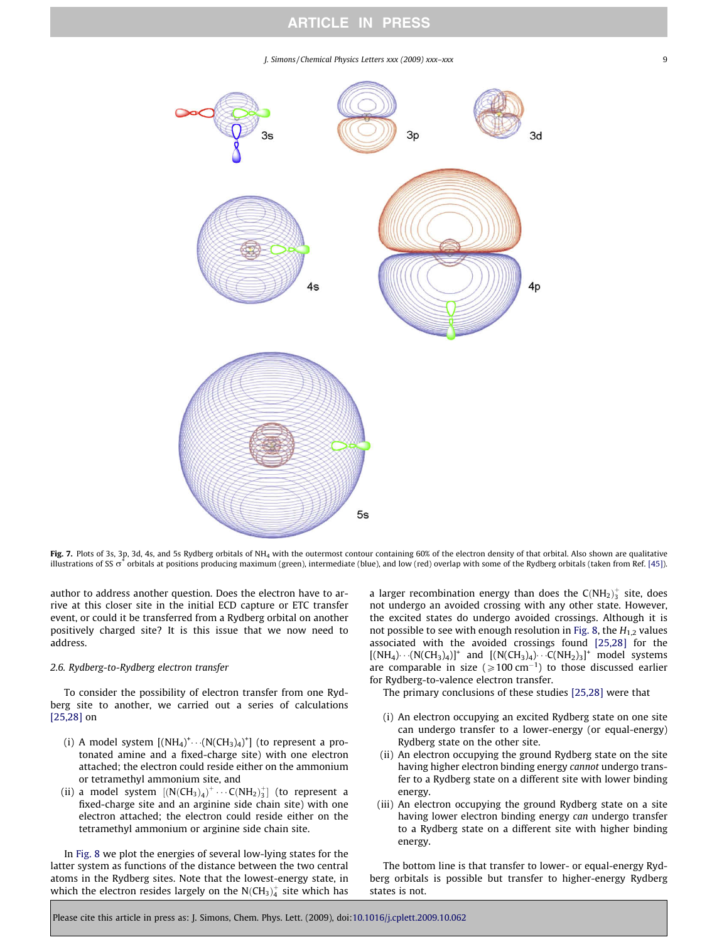J. Simons / Chemical Physics Letters xxx (2009) xxx–xxx 9

<span id="page-8-0"></span>

Fig. 7. Plots of 3s, 3p, 3d, 4s, and 5s Rydberg orbitals of NH<sub>4</sub> with the outermost contour containing 60% of the electron density of that orbital. Also shown are qualitative illustrations of SS o\* orbitals at positions producing maximum (green), intermediate (blue), and low (red) overlap with some of the Rydberg orbitals (taken from Ref. [\[45\]\)](#page-14-0).

author to address another question. Does the electron have to arrive at this closer site in the initial ECD capture or ETC transfer event, or could it be transferred from a Rydberg orbital on another positively charged site? It is this issue that we now need to address.

### 2.6. Rydberg-to-Rydberg electron transfer

To consider the possibility of electron transfer from one Rydberg site to another, we carried out a series of calculations [\[25,28\]](#page-14-0) on

- (i) A model system  $[(NH_4)^+ \cdot \cdot \cdot (N(CH_3)_4)^+]$  (to represent a protonated amine and a fixed-charge site) with one electron attached; the electron could reside either on the ammonium or tetramethyl ammonium site, and
- (ii) a model system  $[(N(CH_3)_4)^+ \cdots C(NH_2)_3^+]$  (to represent a fixed-charge site and an arginine side chain site) with one electron attached; the electron could reside either on the tetramethyl ammonium or arginine side chain site.

In [Fig. 8](#page-9-0) we plot the energies of several low-lying states for the latter system as functions of the distance between the two central atoms in the Rydberg sites. Note that the lowest-energy state, in which the electron resides largely on the  $\rm N(\rm CH_3)_4^+$  site which has

a larger recombination energy than does the  $C(NH_2)_3^+$  site, does not undergo an avoided crossing with any other state. However, the excited states do undergo avoided crossings. Although it is not possible to see with enough resolution in [Fig. 8,](#page-9-0) the  $H_{1,2}$  values associated with the avoided crossings found [\[25,28\]](#page-14-0) for the  $[(NH_4)\cdots(N(CH_3)_4)]^+$  and  $[(N(CH_3)_4)\cdots C(NH_2)_3]^+$  model systems are comparable in size ( $\geqslant$ 100 cm<sup>-1</sup>) to those discussed earlier for Rydberg-to-valence electron transfer.

The primary conclusions of these studies [\[25,28\]](#page-14-0) were that

- (i) An electron occupying an excited Rydberg state on one site can undergo transfer to a lower-energy (or equal-energy) Rydberg state on the other site.
- (ii) An electron occupying the ground Rydberg state on the site having higher electron binding energy cannot undergo transfer to a Rydberg state on a different site with lower binding energy.
- (iii) An electron occupying the ground Rydberg state on a site having lower electron binding energy can undergo transfer to a Rydberg state on a different site with higher binding energy.

The bottom line is that transfer to lower- or equal-energy Rydberg orbitals is possible but transfer to higher-energy Rydberg states is not.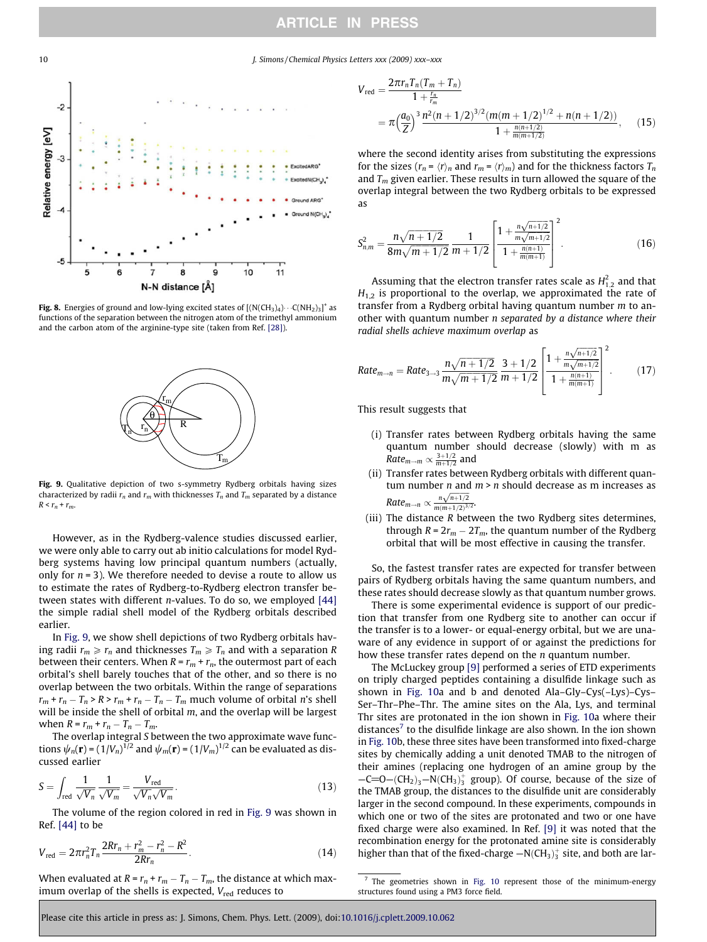<span id="page-9-0"></span>10 J. Simons / Chemical Physics Letters xxx (2009) xxx–xxx



**Fig. 8.** Energies of ground and low-lying excited states of  $[(N(CH_3)_4)\cdots C(NH_2)_3]^+$  as functions of the separation between the nitrogen atom of the trimethyl ammonium and the carbon atom of the arginine-type site (taken from Ref. [\[28\]](#page-14-0)).



Fig. 9. Qualitative depiction of two s-symmetry Rydberg orbitals having sizes characterized by radii  $r_n$  and  $r_m$  with thicknesses  $T_n$  and  $T_m$  separated by a distance  $R \leq r_n + r_m$ 

However, as in the Rydberg-valence studies discussed earlier, we were only able to carry out ab initio calculations for model Rydberg systems having low principal quantum numbers (actually, only for  $n = 3$ ). We therefore needed to devise a route to allow us to estimate the rates of Rydberg-to-Rydberg electron transfer between states with different n-values. To do so, we employed [\[44\]](#page-14-0) the simple radial shell model of the Rydberg orbitals described earlier.

In Fig. 9, we show shell depictions of two Rydberg orbitals having radii  $r_m \ge r_n$  and thicknesses  $T_m \ge T_n$  and with a separation R between their centers. When  $R = r_m + r_n$ , the outermost part of each orbital's shell barely touches that of the other, and so there is no overlap between the two orbitals. Within the range of separations  $r_m + r_n - T_n > R > r_m + r_n - T_n - T_m$  much volume of orbital n's shell will be inside the shell of orbital  $m$ , and the overlap will be largest when  $R = r_m + r_n - T_n - T_m$ .

The overlap integral S between the two approximate wave functions  $\psi_n(\mathbf{r}) = (1/V_n)^{1/2}$  and  $\psi_m(\mathbf{r}) = (1/V_m)^{1/2}$  can be evaluated as discussed earlier

$$
S = \int_{\text{red}} \frac{1}{\sqrt{V_n}} \frac{1}{\sqrt{V_m}} = \frac{V_{\text{red}}}{\sqrt{V_n}\sqrt{V_m}}.
$$
\n(13)

The volume of the region colored in red in Fig. 9 was shown in Ref. [\[44\]](#page-14-0) to be

$$
V_{\rm red} = 2\pi r_n^2 T_n \frac{2Rr_n + r_m^2 - r_n^2 - R^2}{2Rr_n}.
$$
 (14)

When evaluated at R =  $r_n$  +  $r_m$  –  $T_n$  –  $T_m$ , the distance at which maximum overlap of the shells is expected,  $V_{\text{red}}$  reduces to

$$
V_{\text{red}} = \frac{2\pi r_n T_n (T_m + T_n)}{1 + \frac{r_n}{r_m}}
$$
  
=  $\pi \left(\frac{a_0}{Z}\right)^3 \frac{n^2 (n + 1/2)^{3/2} (m(m + 1/2)^{1/2} + n(n + 1/2))}{1 + \frac{n(n + 1/2)}{m(m + 1/2)}},$  (15)

where the second identity arises from substituting the expressions for the sizes  $(r_n = \langle r \rangle_n$  and  $r_m = \langle r \rangle_m$ ) and for the thickness factors  $T_n$ and  $T_m$  given earlier. These results in turn allowed the square of the overlap integral between the two Rydberg orbitals to be expressed as

$$
S_{n,m}^2 = \frac{n\sqrt{n+1/2}}{8m\sqrt{m+1/2}} \frac{1}{m+1/2} \left[ \frac{1 + \frac{n\sqrt{n+1/2}}{m\sqrt{m+1/2}}}{1 + \frac{n(n+1)}{m(m+1)}} \right]^2.
$$
 (16)

Assuming that the electron transfer rates scale as  $H_{1,2}^2$  and that  $H_{1,2}$  is proportional to the overlap, we approximated the rate of transfer from a Rydberg orbital having quantum number  $m$  to another with quantum number n separated by a distance where their radial shells achieve maximum overlap as

Rate<sub>m-n</sub> = Rate<sub>3-3</sub> 
$$
\frac{n\sqrt{n+1/2}}{m\sqrt{m+1/2}} \frac{3+1/2}{m+1/2} \left[ \frac{1 + \frac{n\sqrt{n+1/2}}{m\sqrt{m+1/2}}}{1 + \frac{n(n+1)}{m(m+1)}} \right]^2
$$
. (17)

This result suggests that

- (i) Transfer rates between Rydberg orbitals having the same quantum number should decrease (slowly) with m as Rate $_{m\rightarrow m}\propto \frac{3+1/2}{m+1/2}$  and
- (ii) Transfer rates between Rydberg orbitals with different quantum number  $n$  and  $m > n$  should decrease as m increases as Rate<sub>m  $\rightarrow$ n  $\propto \frac{n\sqrt{n+1/2}}{m(m+1/2)^3}$ </sub>  $\frac{n\sqrt{n+1/2}}{m(m+1/2)^{3/2}}$
- (iii) The distance R between the two Rydberg sites determines, through  $R = 2r_m - 2T_m$ , the quantum number of the Rydberg orbital that will be most effective in causing the transfer.

So, the fastest transfer rates are expected for transfer between pairs of Rydberg orbitals having the same quantum numbers, and these rates should decrease slowly as that quantum number grows.

There is some experimental evidence is support of our prediction that transfer from one Rydberg site to another can occur if the transfer is to a lower- or equal-energy orbital, but we are unaware of any evidence in support of or against the predictions for how these transfer rates depend on the  $n$  quantum number.

The McLuckey group [\[9\]](#page-13-0) performed a series of ETD experiments on triply charged peptides containing a disulfide linkage such as shown in [Fig. 10a](#page-10-0) and b and denoted Ala–Gly–Cys(–Lys)–Cys– Ser–Thr–Phe–Thr. The amine sites on the Ala, Lys, and terminal Thr sites are protonated in the ion shown in [Fig. 10a](#page-10-0) where their distances<sup>7</sup> to the disulfide linkage are also shown. In the ion shown in [Fig. 10b](#page-10-0), these three sites have been transformed into fixed-charge sites by chemically adding a unit denoted TMAB to the nitrogen of their amines (replacing one hydrogen of an amine group by the  $-C=O-(CH<sub>2</sub>)<sub>3</sub> - N(CH<sub>3</sub>)<sub>3</sub><sup>+</sup>$  group). Of course, because of the size of the TMAB group, the distances to the disulfide unit are considerably larger in the second compound. In these experiments, compounds in which one or two of the sites are protonated and two or one have fixed charge were also examined. In Ref. [\[9\]](#page-13-0) it was noted that the recombination energy for the protonated amine site is considerably higher than that of the fixed-charge  $-N(CH_3)_3^+$  site, and both are lar-

Please cite this article in press as: J. Simons, Chem. Phys. Lett. (2009), doi[:10.1016/j.cplett.2009.10.062](http://dx.doi.org/10.1016/j.cplett.2009.10.062)

<sup>&</sup>lt;sup>7</sup> The geometries shown in [Fig. 10](#page-10-0) represent those of the minimum-energy structures found using a PM3 force field.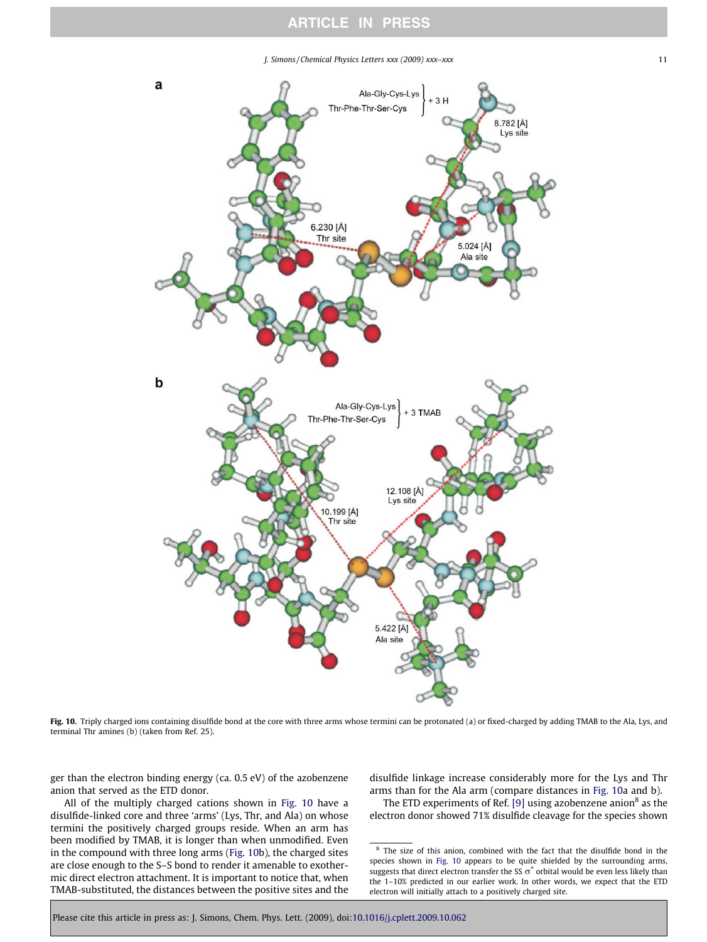J. Simons / Chemical Physics Letters xxx (2009) xxx–xxx 11

<span id="page-10-0"></span>

Fig. 10. Triply charged ions containing disulfide bond at the core with three arms whose termini can be protonated (a) or fixed-charged by adding TMAB to the Ala, Lys, and terminal Thr amines (b) (taken from Ref. 25).

ger than the electron binding energy (ca. 0.5 eV) of the azobenzene anion that served as the ETD donor.

All of the multiply charged cations shown in Fig. 10 have a disulfide-linked core and three 'arms' (Lys, Thr, and Ala) on whose termini the positively charged groups reside. When an arm has been modified by TMAB, it is longer than when unmodified. Even in the compound with three long arms (Fig. 10b), the charged sites are close enough to the S–S bond to render it amenable to exothermic direct electron attachment. It is important to notice that, when TMAB-substituted, the distances between the positive sites and the disulfide linkage increase considerably more for the Lys and Thr arms than for the Ala arm (compare distances in Fig. 10a and b).

The ETD experiments of Ref. [\[9\]](#page-13-0) using azobenzene anion<sup>8</sup> as the electron donor showed 71% disulfide cleavage for the species shown

<sup>&</sup>lt;sup>8</sup> The size of this anion, combined with the fact that the disulfide bond in the species shown in Fig. 10 appears to be quite shielded by the surrounding arms, suggests that direct electron transfer the SS  $\sigma^*$  orbital would be even less likely than the 1–10% predicted in our earlier work. In other words, we expect that the ETD electron will initially attach to a positively charged site.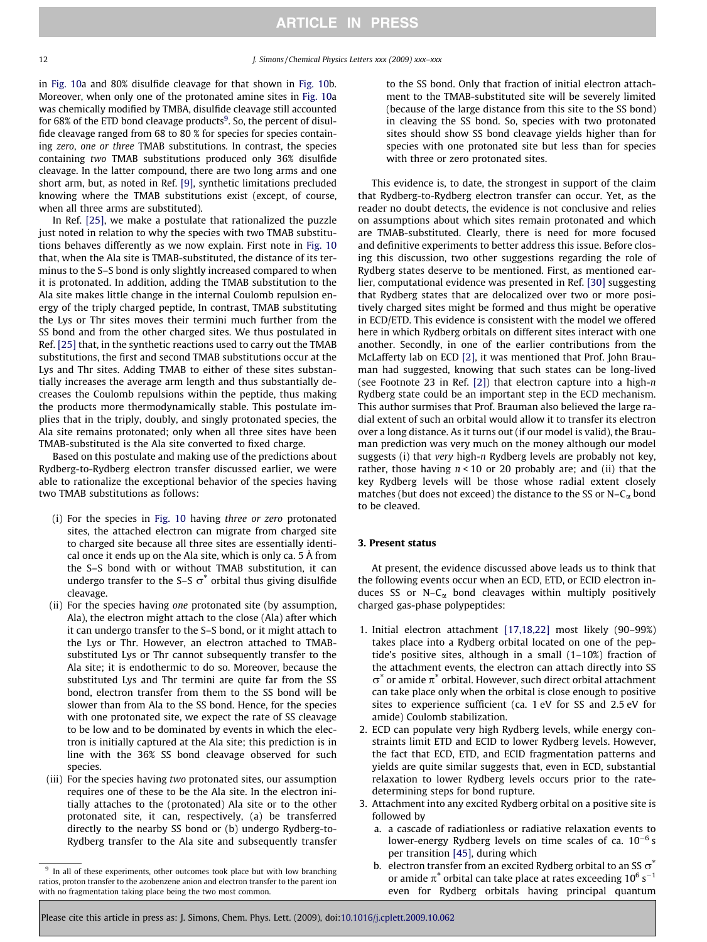in [Fig. 10a](#page-10-0) and 80% disulfide cleavage for that shown in [Fig. 10](#page-10-0)b. Moreover, when only one of the protonated amine sites in [Fig. 10a](#page-10-0) was chemically modified by TMBA, disulfide cleavage still accounted for 68% of the ETD bond cleavage products<sup>9</sup>. So, the percent of disulfide cleavage ranged from 68 to 80 % for species for species containing zero, one or three TMAB substitutions. In contrast, the species containing two TMAB substitutions produced only 36% disulfide cleavage. In the latter compound, there are two long arms and one short arm, but, as noted in Ref. [\[9\],](#page-13-0) synthetic limitations precluded knowing where the TMAB substitutions exist (except, of course, when all three arms are substituted).

In Ref. [\[25\],](#page-14-0) we make a postulate that rationalized the puzzle just noted in relation to why the species with two TMAB substitutions behaves differently as we now explain. First note in [Fig. 10](#page-10-0) that, when the Ala site is TMAB-substituted, the distance of its terminus to the S–S bond is only slightly increased compared to when it is protonated. In addition, adding the TMAB substitution to the Ala site makes little change in the internal Coulomb repulsion energy of the triply charged peptide, In contrast, TMAB substituting the Lys or Thr sites moves their termini much further from the SS bond and from the other charged sites. We thus postulated in Ref. [\[25\]](#page-14-0) that, in the synthetic reactions used to carry out the TMAB substitutions, the first and second TMAB substitutions occur at the Lys and Thr sites. Adding TMAB to either of these sites substantially increases the average arm length and thus substantially decreases the Coulomb repulsions within the peptide, thus making the products more thermodynamically stable. This postulate implies that in the triply, doubly, and singly protonated species, the Ala site remains protonated; only when all three sites have been TMAB-substituted is the Ala site converted to fixed charge.

Based on this postulate and making use of the predictions about Rydberg-to-Rydberg electron transfer discussed earlier, we were able to rationalize the exceptional behavior of the species having two TMAB substitutions as follows:

- (i) For the species in [Fig. 10](#page-10-0) having three or zero protonated sites, the attached electron can migrate from charged site to charged site because all three sites are essentially identical once it ends up on the Ala site, which is only ca. 5 Å from the S–S bond with or without TMAB substitution, it can undergo transfer to the S-S  $\sigma^*$  orbital thus giving disulfide cleavage.
- (ii) For the species having one protonated site (by assumption, Ala), the electron might attach to the close (Ala) after which it can undergo transfer to the S–S bond, or it might attach to the Lys or Thr. However, an electron attached to TMABsubstituted Lys or Thr cannot subsequently transfer to the Ala site; it is endothermic to do so. Moreover, because the substituted Lys and Thr termini are quite far from the SS bond, electron transfer from them to the SS bond will be slower than from Ala to the SS bond. Hence, for the species with one protonated site, we expect the rate of SS cleavage to be low and to be dominated by events in which the electron is initially captured at the Ala site; this prediction is in line with the 36% SS bond cleavage observed for such species.
- (iii) For the species having two protonated sites, our assumption requires one of these to be the Ala site. In the electron initially attaches to the (protonated) Ala site or to the other protonated site, it can, respectively, (a) be transferred directly to the nearby SS bond or (b) undergo Rydberg-to-Rydberg transfer to the Ala site and subsequently transfer

to the SS bond. Only that fraction of initial electron attachment to the TMAB-substituted site will be severely limited (because of the large distance from this site to the SS bond) in cleaving the SS bond. So, species with two protonated sites should show SS bond cleavage yields higher than for species with one protonated site but less than for species with three or zero protonated sites.

This evidence is, to date, the strongest in support of the claim that Rydberg-to-Rydberg electron transfer can occur. Yet, as the reader no doubt detects, the evidence is not conclusive and relies on assumptions about which sites remain protonated and which are TMAB-substituted. Clearly, there is need for more focused and definitive experiments to better address this issue. Before closing this discussion, two other suggestions regarding the role of Rydberg states deserve to be mentioned. First, as mentioned earlier, computational evidence was presented in Ref. [\[30\]](#page-14-0) suggesting that Rydberg states that are delocalized over two or more positively charged sites might be formed and thus might be operative in ECD/ETD. This evidence is consistent with the model we offered here in which Rydberg orbitals on different sites interact with one another. Secondly, in one of the earlier contributions from the McLafferty lab on ECD [\[2\]](#page-13-0), it was mentioned that Prof. John Brauman had suggested, knowing that such states can be long-lived (see Footnote 23 in Ref. [\[2\]\)](#page-13-0) that electron capture into a high-n Rydberg state could be an important step in the ECD mechanism. This author surmises that Prof. Brauman also believed the large radial extent of such an orbital would allow it to transfer its electron over a long distance. As it turns out (if our model is valid), the Brauman prediction was very much on the money although our model suggests (i) that very high-n Rydberg levels are probably not key, rather, those having  $n < 10$  or 20 probably are; and (ii) that the key Rydberg levels will be those whose radial extent closely matches (but does not exceed) the distance to the SS or  $N-C_{\alpha}$  bond to be cleaved.

### 3. Present status

At present, the evidence discussed above leads us to think that the following events occur when an ECD, ETD, or ECID electron induces SS or N–C $_{\alpha}$  bond cleavages within multiply positively charged gas-phase polypeptides:

- 1. Initial electron attachment [\[17,18,22\]](#page-13-0) most likely (90–99%) takes place into a Rydberg orbital located on one of the peptide's positive sites, although in a small (1–10%) fraction of the attachment events, the electron can attach directly into SS  $\sigma^*$  or amide  $\pi^*$  orbital. However, such direct orbital attachment can take place only when the orbital is close enough to positive sites to experience sufficient (ca. 1 eV for SS and 2.5 eV for amide) Coulomb stabilization.
- 2. ECD can populate very high Rydberg levels, while energy constraints limit ETD and ECID to lower Rydberg levels. However, the fact that ECD, ETD, and ECID fragmentation patterns and yields are quite similar suggests that, even in ECD, substantial relaxation to lower Rydberg levels occurs prior to the ratedetermining steps for bond rupture.
- 3. Attachment into any excited Rydberg orbital on a positive site is followed by
	- a. a cascade of radiationless or radiative relaxation events to lower-energy Rydberg levels on time scales of ca.  $10^{-6}$  s per transition [\[45\]](#page-14-0), during which
	- b. electron transfer from an excited Rydberg orbital to an SS  $\sigma^*$ or amide  $\pi^*$  orbital can take place at rates exceeding  $10^6$  s<sup>-1</sup> even for Rydberg orbitals having principal quantum

 $9$  In all of these experiments, other outcomes took place but with low branching ratios, proton transfer to the azobenzene anion and electron transfer to the parent ion with no fragmentation taking place being the two most common.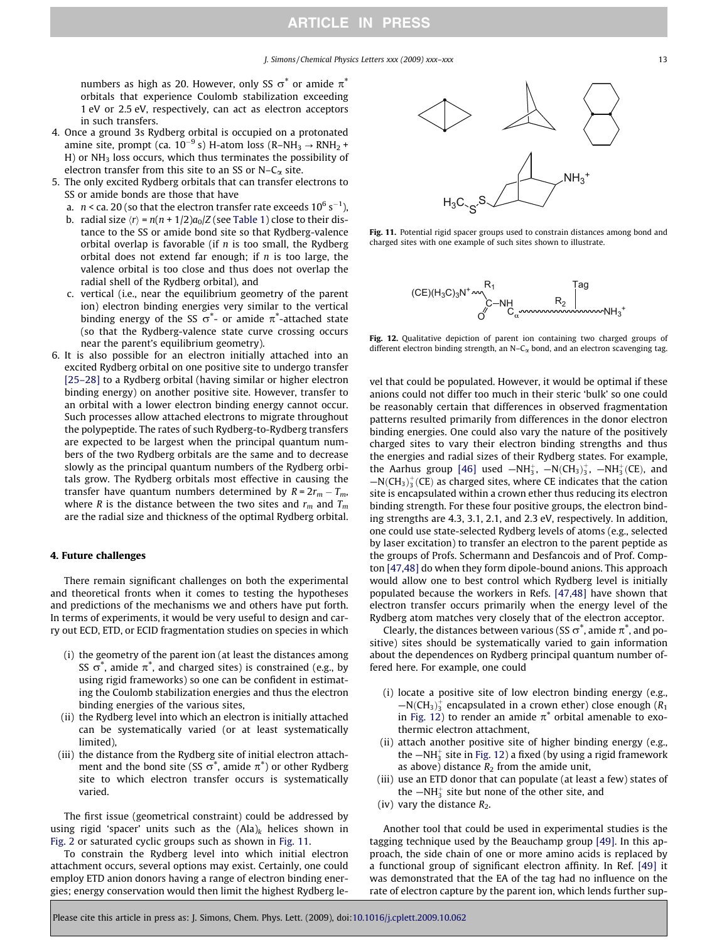J. Simons / Chemical Physics Letters xxx (2009) xxx–xxx 13

numbers as high as 20. However, only SS  $\sigma^*$  or amide  $\pi^*$ orbitals that experience Coulomb stabilization exceeding 1 eV or 2.5 eV, respectively, can act as electron acceptors in such transfers.

- 4. Once a ground 3s Rydberg orbital is occupied on a protonated amine site, prompt (ca. 10<sup>–9</sup> s) H-atom loss (R–NH<sub>3</sub> → RNH<sub>2</sub> +  $H$ ) or NH<sub>3</sub> loss occurs, which thus terminates the possibility of electron transfer from this site to an SS or  $N-C_{\alpha}$  site.
- 5. The only excited Rydberg orbitals that can transfer electrons to SS or amide bonds are those that have
	- a. n < ca. 20 (so that the electron transfer rate exceeds 106 s-1 ),
	- b. radial size  $\langle r \rangle = n(n + 1/2)a_0/Z$  (see [Table 1\)](#page-7-0) close to their distance to the SS or amide bond site so that Rydberg-valence orbital overlap is favorable (if  $n$  is too small, the Rydberg orbital does not extend far enough; if  $n$  is too large, the valence orbital is too close and thus does not overlap the radial shell of the Rydberg orbital), and
	- c. vertical (i.e., near the equilibrium geometry of the parent ion) electron binding energies very similar to the vertical binding energy of the SS  $\sigma^*$ - or amide  $\pi^*$ -attached state (so that the Rydberg-valence state curve crossing occurs near the parent's equilibrium geometry).
- 6. It is also possible for an electron initially attached into an excited Rydberg orbital on one positive site to undergo transfer [\[25–28\]](#page-14-0) to a Rydberg orbital (having similar or higher electron binding energy) on another positive site. However, transfer to an orbital with a lower electron binding energy cannot occur. Such processes allow attached electrons to migrate throughout the polypeptide. The rates of such Rydberg-to-Rydberg transfers are expected to be largest when the principal quantum numbers of the two Rydberg orbitals are the same and to decrease slowly as the principal quantum numbers of the Rydberg orbitals grow. The Rydberg orbitals most effective in causing the transfer have quantum numbers determined by R = 2 $r_m$  –  $T_m$ , where R is the distance between the two sites and  $r_m$  and  $T_m$ are the radial size and thickness of the optimal Rydberg orbital.

### 4. Future challenges

There remain significant challenges on both the experimental and theoretical fronts when it comes to testing the hypotheses and predictions of the mechanisms we and others have put forth. In terms of experiments, it would be very useful to design and carry out ECD, ETD, or ECID fragmentation studies on species in which

- (i) the geometry of the parent ion (at least the distances among SS  $\sigma^*$ , amide  $\pi^*$ , and charged sites) is constrained (e.g., by using rigid frameworks) so one can be confident in estimating the Coulomb stabilization energies and thus the electron binding energies of the various sites,
- (ii) the Rydberg level into which an electron is initially attached can be systematically varied (or at least systematically limited),
- (iii) the distance from the Rydberg site of initial electron attachment and the bond site (SS  $\sigma^*$ , amide  $\pi^*$ ) or other Rydberg site to which electron transfer occurs is systematically varied.

The first issue (geometrical constraint) could be addressed by using rigid 'spacer' units such as the  $(Ala)_k$  helices shown in [Fig. 2](#page-2-0) or saturated cyclic groups such as shown in Fig. 11.

To constrain the Rydberg level into which initial electron attachment occurs, several options may exist. Certainly, one could employ ETD anion donors having a range of electron binding energies; energy conservation would then limit the highest Rydberg le-



Fig. 11. Potential rigid spacer groups used to constrain distances among bond and charged sites with one example of such sites shown to illustrate.



Fig. 12. Qualitative depiction of parent ion containing two charged groups of different electron binding strength, an N–C<sub> $\alpha$ </sub> bond, and an electron scavenging tag.

vel that could be populated. However, it would be optimal if these anions could not differ too much in their steric 'bulk' so one could be reasonably certain that differences in observed fragmentation patterns resulted primarily from differences in the donor electron binding energies. One could also vary the nature of the positively charged sites to vary their electron binding strengths and thus the energies and radial sizes of their Rydberg states. For example, the Aarhus group [\[46\]](#page-14-0) used  $-NH_3^+$ ,  $-N(CH_3)_3^+$ ,  $-NH_3^+(CE)$ , and  $-N(CH_3)_3^+(CE)$  as charged sites, where CE indicates that the cation site is encapsulated within a crown ether thus reducing its electron binding strength. For these four positive groups, the electron binding strengths are 4.3, 3.1, 2.1, and 2.3 eV, respectively. In addition, one could use state-selected Rydberg levels of atoms (e.g., selected by laser excitation) to transfer an electron to the parent peptide as the groups of Profs. Schermann and Desfancois and of Prof. Compton [\[47,48\]](#page-14-0) do when they form dipole-bound anions. This approach would allow one to best control which Rydberg level is initially populated because the workers in Refs. [\[47,48\]](#page-14-0) have shown that electron transfer occurs primarily when the energy level of the Rydberg atom matches very closely that of the electron acceptor.

Clearly, the distances between various (SS  $\sigma^*$ , amide  $\pi^*$ , and positive) sites should be systematically varied to gain information about the dependences on Rydberg principal quantum number offered here. For example, one could

- (i) locate a positive site of low electron binding energy (e.g.,  $-N(CH_3)_3^+$  encapsulated in a crown ether) close enough ( $R_1$ in Fig. 12) to render an amide  $\pi^*$  orbital amenable to exothermic electron attachment,
- (ii) attach another positive site of higher binding energy (e.g., the  $-MH_3^+$  site in Fig. 12) a fixed (by using a rigid framework as above) distance  $R_2$  from the amide unit,
- (iii) use an ETD donor that can populate (at least a few) states of the  $-NH_3^+$  site but none of the other site, and
- (iv) vary the distance  $R_2$ .

Another tool that could be used in experimental studies is the tagging technique used by the Beauchamp group [\[49\].](#page-14-0) In this approach, the side chain of one or more amino acids is replaced by a functional group of significant electron affinity. In Ref. [\[49\]](#page-14-0) it was demonstrated that the EA of the tag had no influence on the rate of electron capture by the parent ion, which lends further sup-

Please cite this article in press as: J. Simons, Chem. Phys. Lett. (2009), doi:[10.1016/j.cplett.2009.10.062](http://dx.doi.org/10.1016/j.cplett.2009.10.062)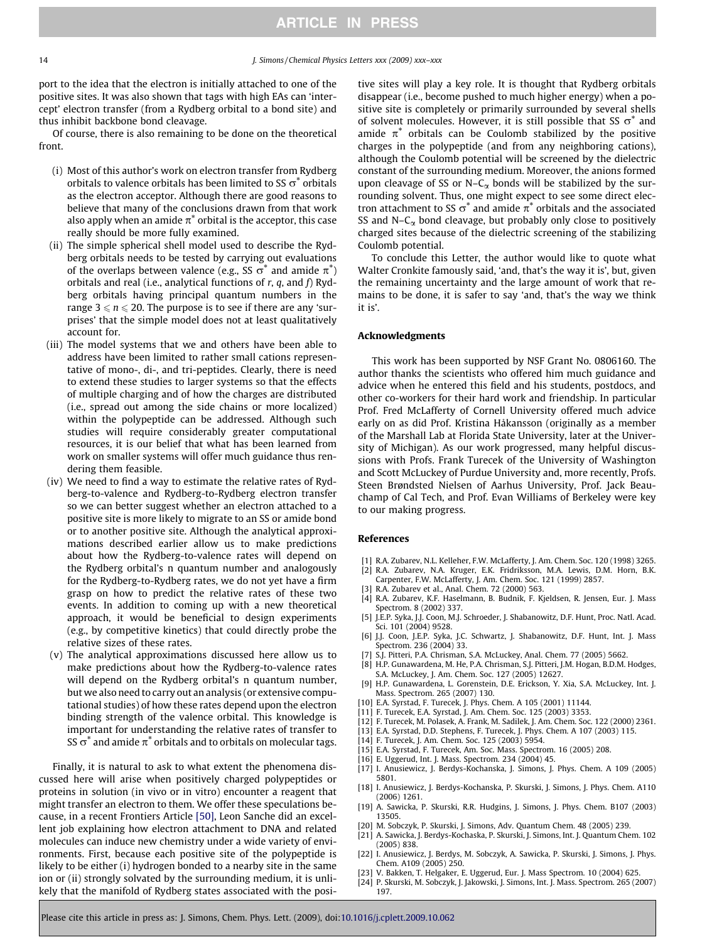<span id="page-13-0"></span>port to the idea that the electron is initially attached to one of the positive sites. It was also shown that tags with high EAs can 'intercept' electron transfer (from a Rydberg orbital to a bond site) and thus inhibit backbone bond cleavage.

Of course, there is also remaining to be done on the theoretical front.

- (i) Most of this author's work on electron transfer from Rydberg orbitals to valence orbitals has been limited to SS  $\sigma^*$  orbitals as the electron acceptor. Although there are good reasons to believe that many of the conclusions drawn from that work also apply when an amide  $\pi^*$  orbital is the acceptor, this case really should be more fully examined.
- (ii) The simple spherical shell model used to describe the Rydberg orbitals needs to be tested by carrying out evaluations of the overlaps between valence (e.g., SS  $\sigma^*$  and amide  $\pi^*$ ) orbitals and real (i.e., analytical functions of  $r$ ,  $q$ , and  $f$ ) Rydberg orbitals having principal quantum numbers in the range  $3 \le n \le 20$ . The purpose is to see if there are any 'surprises' that the simple model does not at least qualitatively account for.
- (iii) The model systems that we and others have been able to address have been limited to rather small cations representative of mono-, di-, and tri-peptides. Clearly, there is need to extend these studies to larger systems so that the effects of multiple charging and of how the charges are distributed (i.e., spread out among the side chains or more localized) within the polypeptide can be addressed. Although such studies will require considerably greater computational resources, it is our belief that what has been learned from work on smaller systems will offer much guidance thus rendering them feasible.
- (iv) We need to find a way to estimate the relative rates of Rydberg-to-valence and Rydberg-to-Rydberg electron transfer so we can better suggest whether an electron attached to a positive site is more likely to migrate to an SS or amide bond or to another positive site. Although the analytical approximations described earlier allow us to make predictions about how the Rydberg-to-valence rates will depend on the Rydberg orbital's n quantum number and analogously for the Rydberg-to-Rydberg rates, we do not yet have a firm grasp on how to predict the relative rates of these two events. In addition to coming up with a new theoretical approach, it would be beneficial to design experiments (e.g., by competitive kinetics) that could directly probe the relative sizes of these rates.
- (v) The analytical approximations discussed here allow us to make predictions about how the Rydberg-to-valence rates will depend on the Rydberg orbital's n quantum number, but we also need to carry out an analysis (or extensive computational studies) of how these rates depend upon the electron binding strength of the valence orbital. This knowledge is important for understanding the relative rates of transfer to SS  $\sigma^*$  and amide  $\pi^*$  orbitals and to orbitals on molecular tags.

Finally, it is natural to ask to what extent the phenomena discussed here will arise when positively charged polypeptides or proteins in solution (in vivo or in vitro) encounter a reagent that might transfer an electron to them. We offer these speculations because, in a recent Frontiers Article [\[50\],](#page-14-0) Leon Sanche did an excellent job explaining how electron attachment to DNA and related molecules can induce new chemistry under a wide variety of environments. First, because each positive site of the polypeptide is likely to be either (i) hydrogen bonded to a nearby site in the same ion or (ii) strongly solvated by the surrounding medium, it is unlikely that the manifold of Rydberg states associated with the positive sites will play a key role. It is thought that Rydberg orbitals disappear (i.e., become pushed to much higher energy) when a positive site is completely or primarily surrounded by several shells of solvent molecules. However, it is still possible that SS  $\sigma^*$  and amide  $\pi^*$  orbitals can be Coulomb stabilized by the positive charges in the polypeptide (and from any neighboring cations), although the Coulomb potential will be screened by the dielectric constant of the surrounding medium. Moreover, the anions formed upon cleavage of SS or N–C<sub> $\alpha$ </sub> bonds will be stabilized by the surrounding solvent. Thus, one might expect to see some direct electron attachment to SS  $\sigma^*$  and amide  $\pi^*$  orbitals and the associated SS and N– $C_{\alpha}$  bond cleavage, but probably only close to positively charged sites because of the dielectric screening of the stabilizing Coulomb potential.

To conclude this Letter, the author would like to quote what Walter Cronkite famously said, 'and, that's the way it is', but, given the remaining uncertainty and the large amount of work that remains to be done, it is safer to say 'and, that's the way we think it is'.

### Acknowledgments

This work has been supported by NSF Grant No. 0806160. The author thanks the scientists who offered him much guidance and advice when he entered this field and his students, postdocs, and other co-workers for their hard work and friendship. In particular Prof. Fred McLafferty of Cornell University offered much advice early on as did Prof. Kristina Håkansson (originally as a member of the Marshall Lab at Florida State University, later at the University of Michigan). As our work progressed, many helpful discussions with Profs. Frank Turecek of the University of Washington and Scott McLuckey of Purdue University and, more recently, Profs. Steen Brøndsted Nielsen of Aarhus University, Prof. Jack Beauchamp of Cal Tech, and Prof. Evan Williams of Berkeley were key to our making progress.

### References

- R.A. Zubarev, N.L. Kelleher, F.W. McLafferty, J. Am. Chem. Soc. 120 (1998) 3265.
- [2] R.A. Zubarev, N.A. Kruger, E.K. Fridriksson, M.A. Lewis, D.M. Horn, B.K. Carpenter, F.W. McLafferty, J. Am. Chem. Soc. 121 (1999) 2857.
- R.A. Zubarev et al., Anal. Chem. 72 (2000) 563.
- [4] R.A. Zubarev, K.F. Haselmann, B. Budnik, F. Kjeldsen, R. Jensen, Eur. J. Mass Spectrom. 8 (2002) 337.
- [5] J.E.P. Syka, J.J. Coon, M.J. Schroeder, J. Shabanowitz, D.F. Hunt, Proc. Natl. Acad. Sci. 101 (2004) 9528.
- [6] J.J. Coon, J.E.P. Syka, J.C. Schwartz, J. Shabanowitz, D.F. Hunt, Int. J. Mass Spectrom. 236 (2004) 33.
- S.J. Pitteri, P.A. Chrisman, S.A. McLuckey, Anal. Chem. 77 (2005) 5662.
- [8] H.P. Gunawardena, M. He, P.A. Chrisman, S.J. Pitteri, J.M. Hogan, B.D.M. Hodges, S.A. McLuckey, J. Am. Chem. Soc. 127 (2005) 12627.
- [9] H.P. Gunawardena, L. Gorenstein, D.E. Erickson, Y. Xia, S.A. McLuckey, Int. J. Mass. Spectrom. 265 (2007) 130.
- [10] E.A. Syrstad, F. Turecek, J. Phys. Chem. A 105 (2001) 11144.
- [11] F. Turecek, E.A. Syrstad, J. Am. Chem. Soc. 125 (2003) 3353.
- [12] F. Turecek, M. Polasek, A. Frank, M. Sadilek, J. Am. Chem. Soc. 122 (2000) 2361.
- [13] E.A. Syrstad, D.D. Stephens, F. Turecek, J. Phys. Chem. A 107 (2003) 115.
- [14] F. Turecek, J. Am. Chem. Soc. 125 (2003) 5954.
- [15] E.A. Syrstad, F. Turecek, Am. Soc. Mass. Spectrom. 16 (2005) 208.
- [16] E. Uggerud, Int. J. Mass. Spectrom. 234 (2004) 45.
- [17] I. Anusiewicz, J. Berdys-Kochanska, J. Simons, J. Phys. Chem. A 109 (2005) 5801.
- [18] I. Anusiewicz, J. Berdys-Kochanska, P. Skurski, J. Simons, J. Phys. Chem. A110 (2006) 1261.
- [19] A. Sawicka, P. Skurski, R.R. Hudgins, J. Simons, J. Phys. Chem. B107 (2003) 13505.
- [20] M. Sobczyk, P. Skurski, J. Simons, Adv. Quantum Chem. 48 (2005) 239.
- [21] A. Sawicka, J. Berdys-Kochaska, P. Skurski, J. Simons, Int. J. Quantum Chem. 102
- (2005) 838. [22] I. Anusiewicz, J. Berdys, M. Sobczyk, A. Sawicka, P. Skurski, J. Simons, J. Phys. Chem. A109 (2005) 250.
- [23] V. Bakken, T. Helgaker, E. Uggerud, Eur. J. Mass Spectrom. 10 (2004) 625.
- [24] P. Skurski, M. Sobczyk, J. Jakowski, J. Simons, Int. J. Mass. Spectrom. 265 (2007) 197.

Please cite this article in press as: J. Simons, Chem. Phys. Lett. (2009), doi[:10.1016/j.cplett.2009.10.062](http://dx.doi.org/10.1016/j.cplett.2009.10.062)